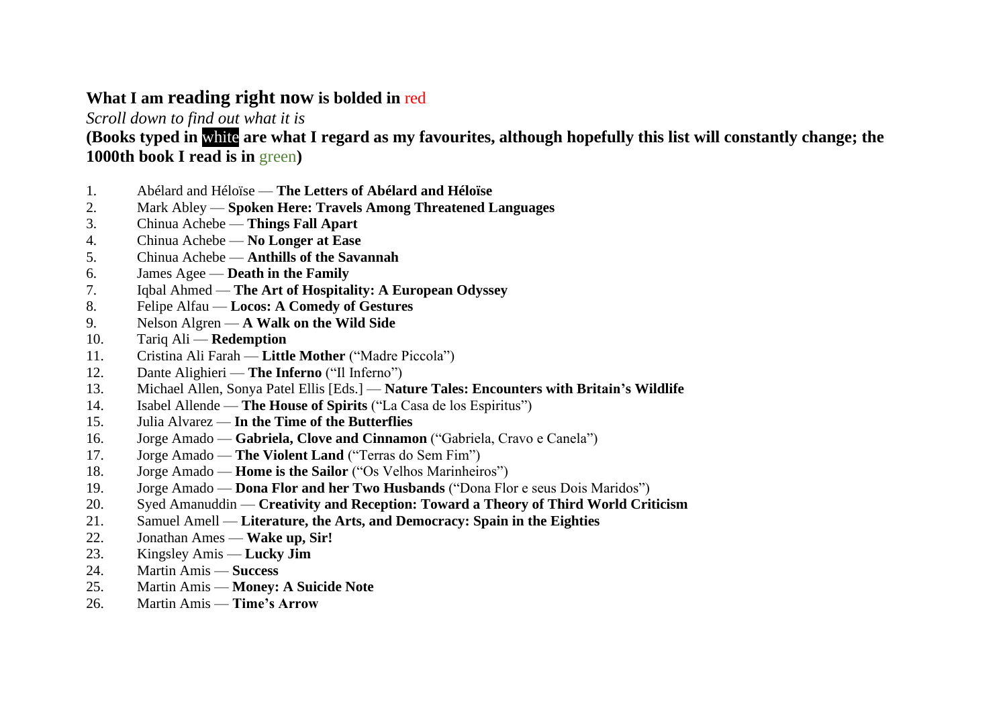## **What I am reading right now is bolded in** red

*Scroll down to find out what it is*

**(Books typed in** white **are what I regard as my favourites, although hopefully this list will constantly change; the 1000th book I read is in** green**)**

- 1. Abélard and Héloïse **The Letters of Abélard and Héloïse**
- 2. Mark Abley **Spoken Here: Travels Among Threatened Languages**
- 3. Chinua Achebe **Things Fall Apart**
- 4. Chinua Achebe **No Longer at Ease**
- 5. Chinua Achebe **Anthills of the Savannah**
- 6. James Agee **Death in the Family**
- 7. Iqbal Ahmed **The Art of Hospitality: A European Odyssey**
- 8. Felipe Alfau **Locos: A Comedy of Gestures**
- 9. Nelson Algren **A Walk on the Wild Side**
- 10. Tariq Ali **Redemption**
- 11. Cristina Ali Farah **Little Mother** ("Madre Piccola")
- 12. Dante Alighieri **The Inferno** ("Il Inferno")
- 13. Michael Allen, Sonya Patel Ellis [Eds.] **Nature Tales: Encounters with Britain's Wildlife**
- 14. Isabel Allende **The House of Spirits** ("La Casa de los Espiritus")
- 15. Julia Alvarez **In the Time of the Butterflies**
- 16. Jorge Amado **Gabriela, Clove and Cinnamon** ("Gabriela, Cravo e Canela")
- 17. Jorge Amado **The Violent Land** ("Terras do Sem Fim")
- 18. Jorge Amado **Home is the Sailor** ("Os Velhos Marinheiros")
- 19. Jorge Amado **Dona Flor and her Two Husbands** ("Dona Flor e seus Dois Maridos")
- 20. Syed Amanuddin **Creativity and Reception: Toward a Theory of Third World Criticism**
- 21. Samuel Amell **Literature, the Arts, and Democracy: Spain in the Eighties**
- 22. Jonathan Ames **Wake up, Sir!**
- 23. Kingsley Amis **Lucky Jim**
- 24. Martin Amis **Success**
- 25. Martin Amis **Money: A Suicide Note**
- 26. Martin Amis **Time's Arrow**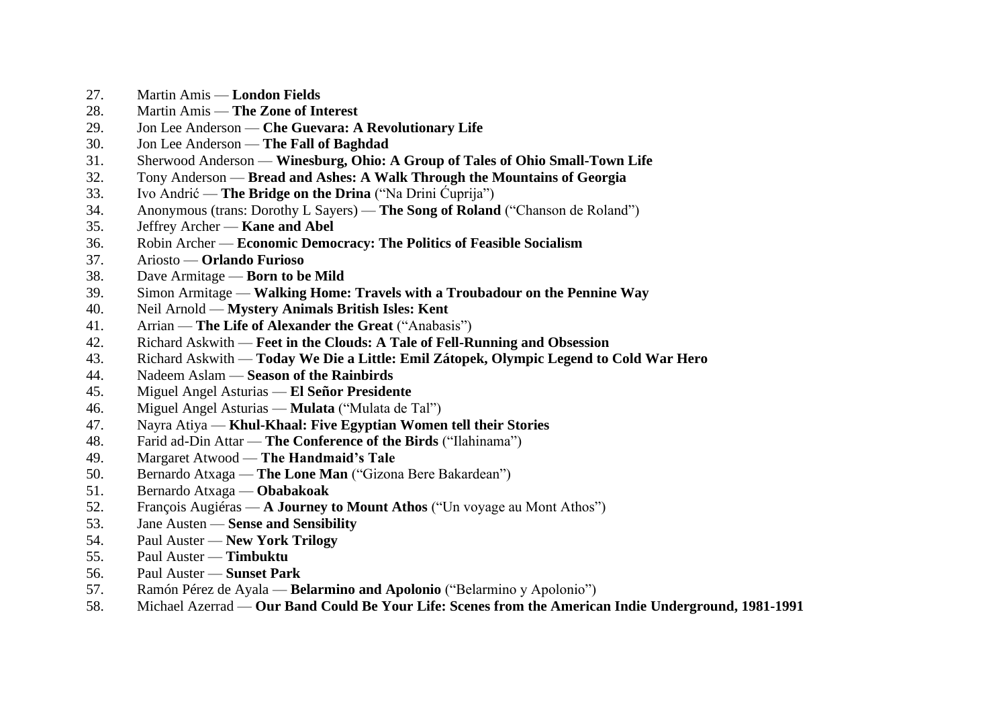- 27. Martin Amis **London Fields**
- 28. Martin Amis **The Zone of Interest**
- 29. Jon Lee Anderson **Che Guevara: A Revolutionary Life**
- 30. Jon Lee Anderson **The Fall of Baghdad**
- 31. Sherwood Anderson **Winesburg, Ohio: A Group of Tales of Ohio Small-Town Life**
- 32. Tony Anderson **Bread and Ashes: A Walk Through the Mountains of Georgia**
- 33. Ivo Andrić **The Bridge on the Drina** ("Na Drini Ćuprija")
- 34. Anonymous (trans: Dorothy L Sayers) **The Song of Roland** ("Chanson de Roland")
- 35. Jeffrey Archer **Kane and Abel**
- 36. Robin Archer **Economic Democracy: The Politics of Feasible Socialism**
- 37. Ariosto **Orlando Furioso**
- 38. Dave Armitage **Born to be Mild**
- 39. Simon Armitage **Walking Home: Travels with a Troubadour on the Pennine Way**
- 40. Neil Arnold **Mystery Animals British Isles: Kent**
- 41. Arrian **The Life of Alexander the Great** ("Anabasis")
- 42. Richard Askwith **Feet in the Clouds: A Tale of Fell-Running and Obsession**
- 43. Richard Askwith **Today We Die a Little: Emil Zátopek, Olympic Legend to Cold War Hero**
- 44. Nadeem Aslam **Season of the Rainbirds**
- 45. Miguel Angel Asturias **El Señor Presidente**
- 46. Miguel Angel Asturias **Mulata** ("Mulata de Tal")
- 47. Nayra Atiya **Khul-Khaal: Five Egyptian Women tell their Stories**
- 48. Farid ad-Din Attar **The Conference of the Birds** ("Ilahinama")
- 49. Margaret Atwood **The Handmaid's Tale**
- 50. Bernardo Atxaga **The Lone Man** ("Gizona Bere Bakardean")
- 51. Bernardo Atxaga **Obabakoak**
- 52. François Augiéras **A Journey to Mount Athos** ("Un voyage au Mont Athos")
- 53. Jane Austen **Sense and Sensibility**
- 54. Paul Auster **New York Trilogy**
- 55. Paul Auster **Timbuktu**
- 56. Paul Auster **Sunset Park**
- 57. Ramón Pérez de Ayala **Belarmino and Apolonio** ("Belarmino y Apolonio")
- 58. Michael Azerrad **Our Band Could Be Your Life: Scenes from the American Indie Underground, 1981-1991**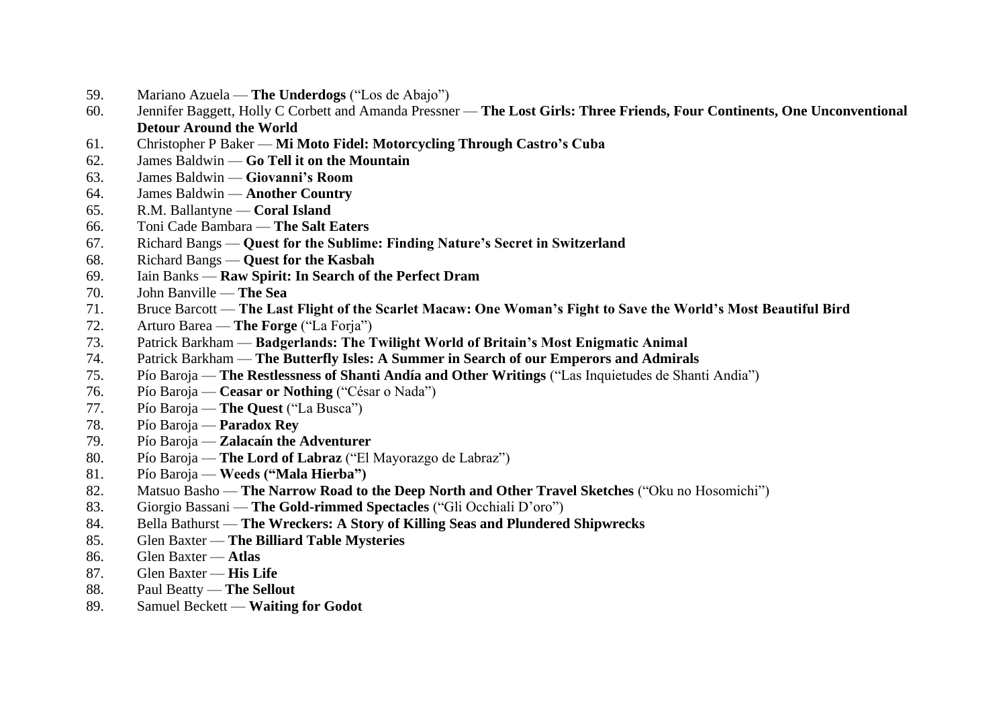- 59. Mariano Azuela **The Underdogs** ("Los de Abajo")
- 60. Jennifer Baggett, Holly C Corbett and Amanda Pressner **The Lost Girls: Three Friends, Four Continents, One Unconventional Detour Around the World**
- 61. Christopher P Baker **Mi Moto Fidel: Motorcycling Through Castro's Cuba**
- 62. James Baldwin **Go Tell it on the Mountain**
- 63. James Baldwin **Giovanni's Room**
- 64. James Baldwin **Another Country**
- 65. R.M. Ballantyne **Coral Island**
- 66. Toni Cade Bambara **The Salt Eaters**
- 67. Richard Bangs **Quest for the Sublime: Finding Nature's Secret in Switzerland**
- 68. Richard Bangs **Quest for the Kasbah**
- 69. Iain Banks **Raw Spirit: In Search of the Perfect Dram**
- 70. John Banville **The Sea**
- 71. Bruce Barcott **The Last Flight of the Scarlet Macaw: One Woman's Fight to Save the World's Most Beautiful Bird**
- 72. Arturo Barea **The Forge** ("La Forja")
- 73. Patrick Barkham **Badgerlands: The Twilight World of Britain's Most Enigmatic Animal**
- 74. Patrick Barkham **The Butterfly Isles: A Summer in Search of our Emperors and Admirals**
- 75. Pío Baroja **The Restlessness of Shanti Andía and Other Writings** ("Las Inquietudes de Shanti Andia")
- 76. Pío Baroja **Ceasar or Nothing** ("César o Nada")
- 77. Pío Baroja **The Quest** ("La Busca")
- 78. Pío Baroja **Paradox Rey**
- 79. Pío Baroja **Zalacaín the Adventurer**
- 80. Pío Baroja **The Lord of Labraz** ("El Mayorazgo de Labraz")
- 81. Pío Baroja **Weeds ("Mala Hierba")**
- 82. Matsuo Basho **The Narrow Road to the Deep North and Other Travel Sketches** ("Oku no Hosomichi")
- 83. Giorgio Bassani **The Gold-rimmed Spectacles** ("Gli Occhiali D'oro")
- 84. Bella Bathurst **The Wreckers: A Story of Killing Seas and Plundered Shipwrecks**
- 85. Glen Baxter **The Billiard Table Mysteries**
- 86. Glen Baxter **Atlas**
- 87. Glen Baxter **His Life**
- 88. Paul Beatty **The Sellout**
- 89. Samuel Beckett **Waiting for Godot**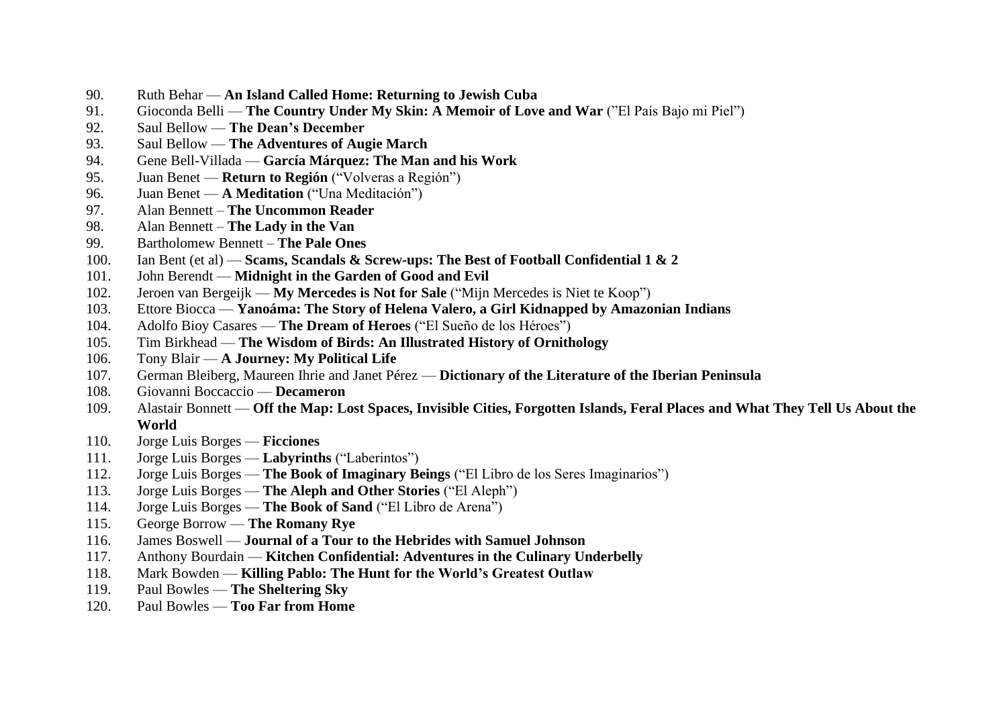- 90. Ruth Behar **An Island Called Home: Returning to Jewish Cuba**
- 91. Gioconda Belli **The Country Under My Skin: A Memoir of Love and War** ("El País Bajo mi Piel")
- 92. Saul Bellow **The Dean's December**
- 93. Saul Bellow **The Adventures of Augie March**
- 94. Gene Bell-Villada **García Márquez: The Man and his Work**
- 95. Juan Benet **Return to Región** ("Volveras a Región")
- 96. Juan Benet **A Meditation** ("Una Meditación")
- 97. Alan Bennett **The Uncommon Reader**
- 98. Alan Bennett **The Lady in the Van**
- 99. Bartholomew Bennett **The Pale Ones**
- 100. Ian Bent (et al) **Scams, Scandals & Screw-ups: The Best of Football Confidential 1 & 2**
- 101. John Berendt **Midnight in the Garden of Good and Evil**
- 102. Jeroen van Bergeijk **My Mercedes is Not for Sale** ("Mijn Mercedes is Niet te Koop")
- 103. Ettore Biocca **Yanoáma: The Story of Helena Valero, a Girl Kidnapped by Amazonian Indians**
- 104. Adolfo Bioy Casares **The Dream of Heroes** ("El Sueño de los Héroes")
- 105. Tim Birkhead **The Wisdom of Birds: An Illustrated History of Ornithology**
- 106. Tony Blair **A Journey: My Political Life**
- 107. German Bleiberg, Maureen Ihrie and Janet Pérez **Dictionary of the Literature of the Iberian Peninsula**
- 108. Giovanni Boccaccio **Decameron**
- 109. Alastair Bonnett **Off the Map: Lost Spaces, Invisible Cities, Forgotten Islands, Feral Places and What They Tell Us About the World**
- 110. Jorge Luis Borges **Ficciones**
- 111. Jorge Luis Borges **Labyrinths** ("Laberintos")
- 112. Jorge Luis Borges **The Book of Imaginary Beings** ("El Libro de los Seres Imaginarios")
- 113. Jorge Luis Borges **The Aleph and Other Stories** ("El Aleph")
- 114. Jorge Luis Borges **The Book of Sand** ("El Libro de Arena")
- 115. George Borrow **The Romany Rye**
- 116. James Boswell **Journal of a Tour to the Hebrides with Samuel Johnson**
- 117. Anthony Bourdain **Kitchen Confidential: Adventures in the Culinary Underbelly**
- 118. Mark Bowden **Killing Pablo: The Hunt for the World's Greatest Outlaw**
- 119. Paul Bowles **The Sheltering Sky**
- 120. Paul Bowles **Too Far from Home**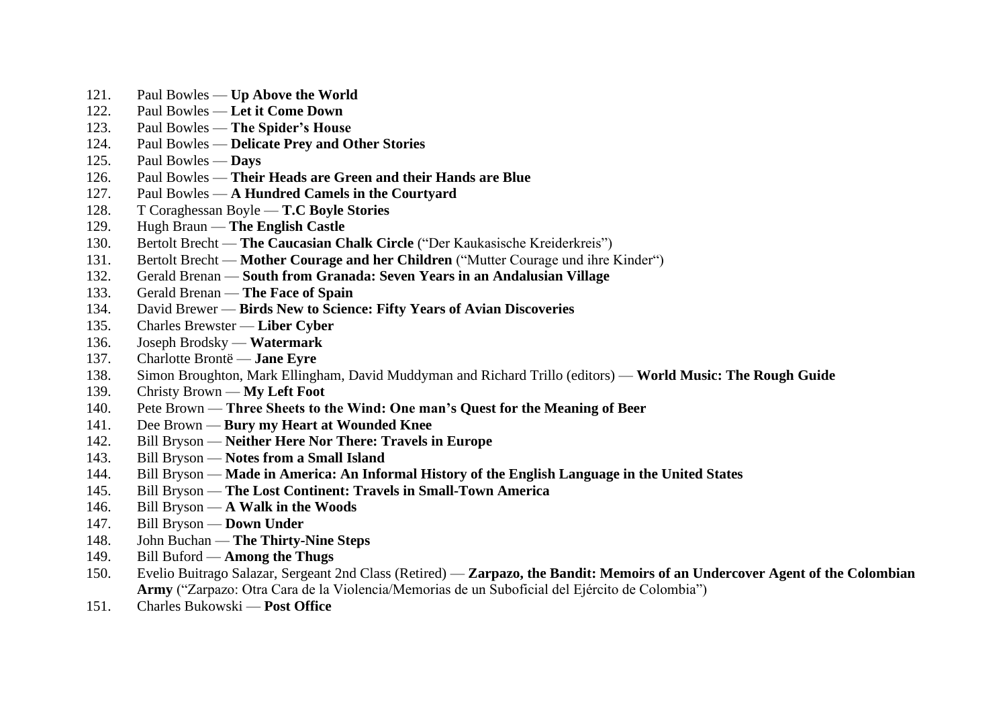- 121. Paul Bowles **Up Above the World**
- 122. Paul Bowles **Let it Come Down**
- 123. Paul Bowles **The Spider's House**
- 124. Paul Bowles **Delicate Prey and Other Stories**
- 125. Paul Bowles **Days**
- 126. Paul Bowles **Their Heads are Green and their Hands are Blue**
- 127. Paul Bowles **A Hundred Camels in the Courtyard**
- 128. T Coraghessan Boyle **T.C Boyle Stories**
- 129. Hugh Braun **The English Castle**
- 130. Bertolt Brecht **The Caucasian Chalk Circle** ("Der Kaukasische Kreiderkreis")
- 131. Bertolt Brecht **Mother Courage and her Children** ("Mutter Courage und ihre Kinder")
- 132. Gerald Brenan **South from Granada: Seven Years in an Andalusian Village**
- 133. Gerald Brenan **The Face of Spain**
- 134. David Brewer **Birds New to Science: Fifty Years of Avian Discoveries**
- 135. Charles Brewster **Liber Cyber**
- 136. Joseph Brodsky **Watermark**
- 137. Charlotte Brontë **Jane Eyre**
- 138. Simon Broughton, Mark Ellingham, David Muddyman and Richard Trillo (editors) **World Music: The Rough Guide**
- 139. Christy Brown **My Left Foot**
- 140. Pete Brown **Three Sheets to the Wind: One man's Quest for the Meaning of Beer**
- 141. Dee Brown **Bury my Heart at Wounded Knee**
- 142. Bill Bryson **Neither Here Nor There: Travels in Europe**
- 143. Bill Bryson **Notes from a Small Island**
- 144. Bill Bryson **Made in America: An Informal History of the English Language in the United States**
- 145. Bill Bryson **The Lost Continent: Travels in Small-Town America**
- 146. Bill Bryson **A Walk in the Woods**
- 147. Bill Bryson **Down Under**
- 148. John Buchan **The Thirty-Nine Steps**
- 149. Bill Buford **Among the Thugs**
- 150. Evelio Buitrago Salazar, Sergeant 2nd Class (Retired) **Zarpazo, the Bandit: Memoirs of an Undercover Agent of the Colombian Army** ("Zarpazo: Otra Cara de la Violencia/Memorias de un Suboficial del Ejército de Colombia")
- 151. Charles Bukowski **Post Office**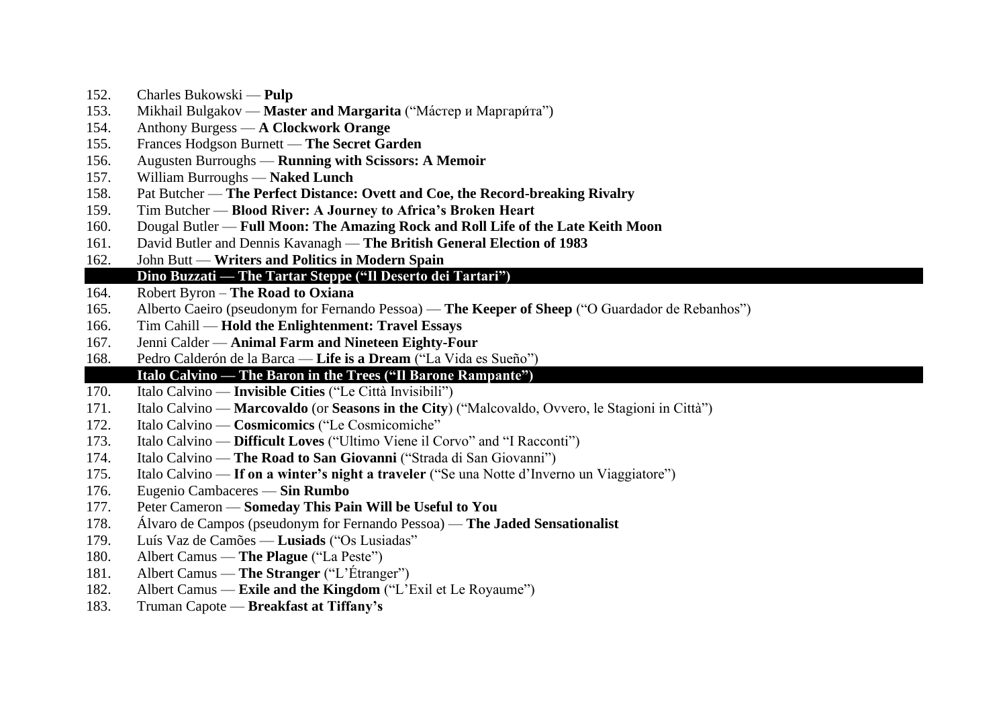- 152. Charles Bukowski **Pulp**
- 153. Mikhail Bulgakov **Master and Margarita** ("Ма́стер и Маргари́та")<br>154. Anthony Burgess A Clockwork Orange
- 154. Anthony Burgess **A Clockwork Orange**
- 155. Frances Hodgson Burnett **The Secret Garden**
- 156. Augusten Burroughs **Running with Scissors: A Memoir**
- 157. William Burroughs **Naked Lunch**
- 158. Pat Butcher **The Perfect Distance: Ovett and Coe, the Record-breaking Rivalry**
- 159. Tim Butcher **Blood River: A Journey to Africa's Broken Heart**
- 160. Dougal Butler **Full Moon: The Amazing Rock and Roll Life of the Late Keith Moon**
- 161. David Butler and Dennis Kavanagh **The British General Election of 1983**
- 162. John Butt **Writers and Politics in Modern Spain**

#### 163. **Dino Buzzati — The Tartar Steppe ("Il Deserto dei Tartari")**

- 164. Robert Byron **The Road to Oxiana**
- 165. Alberto Caeiro (pseudonym for Fernando Pessoa) **The Keeper of Sheep** ("O Guardador de Rebanhos")
- 166. Tim Cahill **Hold the Enlightenment: Travel Essays**
- 167. Jenni Calder **Animal Farm and Nineteen Eighty-Four**
- 168. Pedro Calderón de la Barca **Life is a Dream** ("La Vida es Sueño")

#### 169. **Italo Calvino — The Baron in the Trees ("Il Barone Rampante")**

- 170. Italo Calvino **Invisible Cities** ("Le Città Invisibili")
- 171. Italo Calvino **Marcovaldo** (or **Seasons in the City**) ("Malcovaldo, Ovvero, le Stagioni in Città")
- 172. Italo Calvino **Cosmicomics** ("Le Cosmicomiche"
- 173. Italo Calvino **Difficult Loves** ("Ultimo Viene il Corvo" and "I Racconti")
- 174. Italo Calvino **The Road to San Giovanni** ("Strada di San Giovanni")
- 175. Italo Calvino **If on a winter's night a traveler** ("Se una Notte d'Inverno un Viaggiatore")
- 176. Eugenio Cambaceres **Sin Rumbo**
- 177. Peter Cameron **Someday This Pain Will be Useful to You**
- 178. Álvaro de Campos (pseudonym for Fernando Pessoa) **The Jaded Sensationalist**
- 179. Luís Vaz de Camões **Lusiads** ("Os Lusiadas"
- 180. Albert Camus **The Plague** ("La Peste")
- 181. Albert Camus **The Stranger** ("L'Étranger")
- 182. Albert Camus **Exile and the Kingdom** ("L'Exil et Le Royaume")
- 183. Truman Capote **Breakfast at Tiffany's**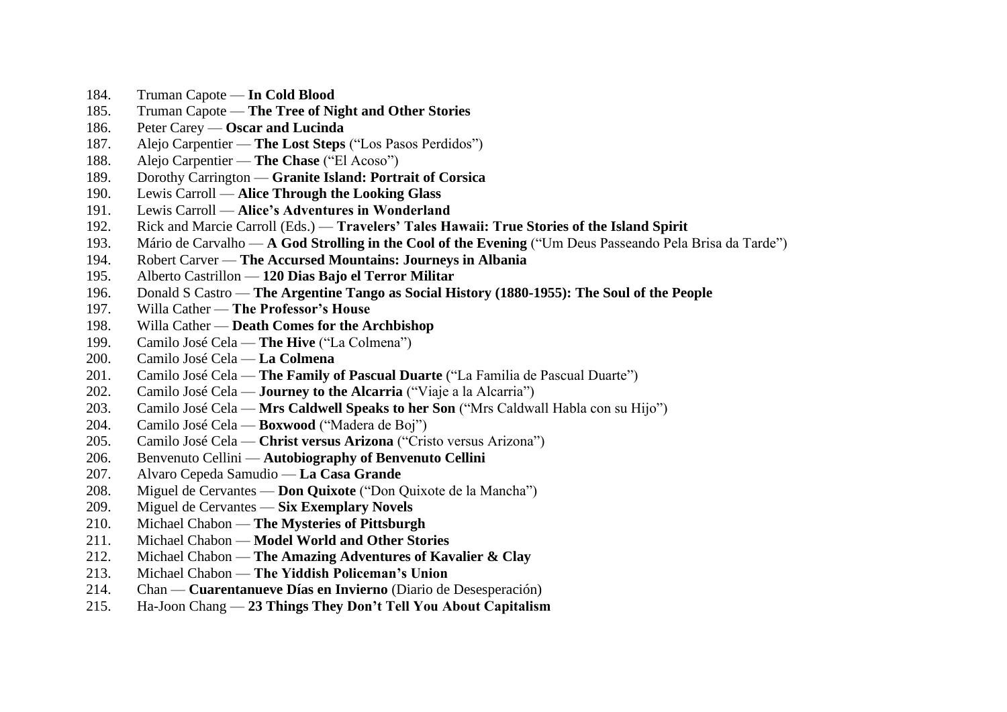- 184. Truman Capote **In Cold Blood**
- 185. Truman Capote **The Tree of Night and Other Stories**
- 186. Peter Carey **Oscar and Lucinda**
- 187. Alejo Carpentier **The Lost Steps** ("Los Pasos Perdidos")
- 188. Alejo Carpentier **The Chase** ("El Acoso")
- 189. Dorothy Carrington **Granite Island: Portrait of Corsica**
- 190. Lewis Carroll **Alice Through the Looking Glass**
- 191. Lewis Carroll **Alice's Adventures in Wonderland**
- 192. Rick and Marcie Carroll (Eds.) **Travelers' Tales Hawaii: True Stories of the Island Spirit**
- 193. Mário de Carvalho **A God Strolling in the Cool of the Evening** ("Um Deus Passeando Pela Brisa da Tarde")
- 194. Robert Carver **The Accursed Mountains: Journeys in Albania**
- 195. Alberto Castrillon **120 Dias Bajo el Terror Militar**
- 196. Donald S Castro **The Argentine Tango as Social History (1880-1955): The Soul of the People**
- 197. Willa Cather **The Professor's House**
- 198. Willa Cather **Death Comes for the Archbishop**
- 199. Camilo José Cela **The Hive** ("La Colmena")
- 200. Camilo José Cela **La Colmena**
- 201. Camilo José Cela **The Family of Pascual Duarte** ("La Familia de Pascual Duarte")
- 202. Camilo José Cela **Journey to the Alcarria** ("Viaje a la Alcarria")
- 203. Camilo José Cela **Mrs Caldwell Speaks to her Son** ("Mrs Caldwall Habla con su Hijo")
- 204. Camilo José Cela **Boxwood** ("Madera de Boj")
- 205. Camilo José Cela **Christ versus Arizona** ("Cristo versus Arizona")
- 206. Benvenuto Cellini **Autobiography of Benvenuto Cellini**
- 207. Alvaro Cepeda Samudio **La Casa Grande**
- 208. Miguel de Cervantes **Don Quixote** ("Don Quixote de la Mancha")
- 209. Miguel de Cervantes **Six Exemplary Novels**
- 210. Michael Chabon **The Mysteries of Pittsburgh**
- 211. Michael Chabon **Model World and Other Stories**
- 212. Michael Chabon **The Amazing Adventures of Kavalier & Clay**
- 213. Michael Chabon **The Yiddish Policeman's Union**
- 214. Chan **Cuarentanueve Días en Invierno** (Diario de Desesperación)
- 215. Ha-Joon Chang **23 Things They Don't Tell You About Capitalism**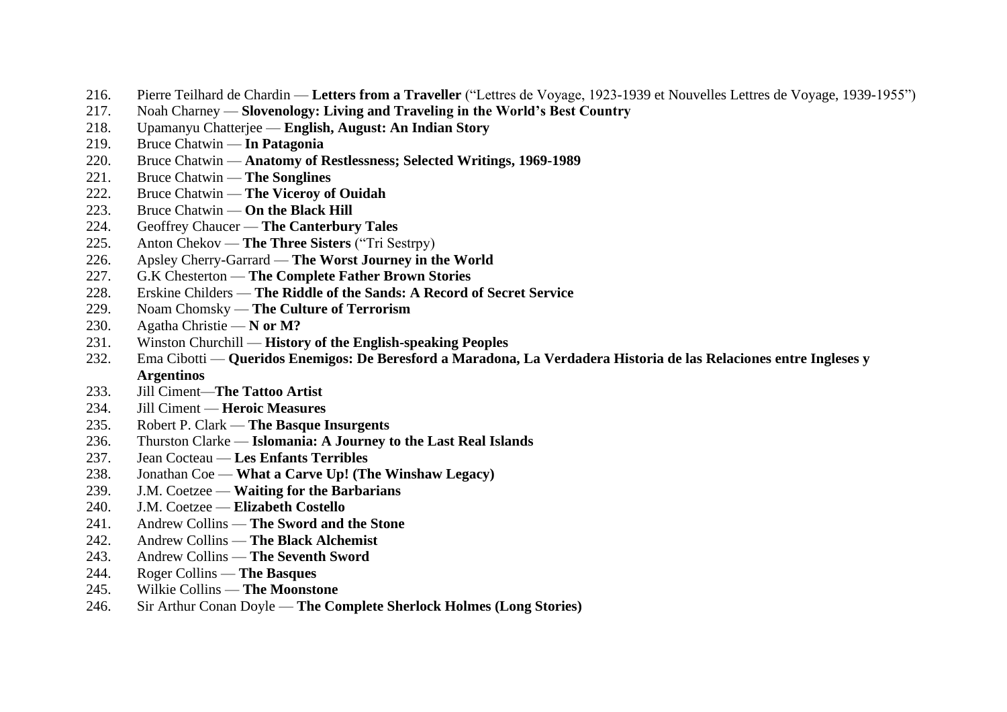- 216. Pierre Teilhard de Chardin **Letters from a Traveller** ("Lettres de Voyage, 1923-1939 et Nouvelles Lettres de Voyage, 1939-1955")
- 217. Noah Charney **Slovenology: Living and Traveling in the World's Best Country**
- 218. Upamanyu Chatterjee **English, August: An Indian Story**
- 219. Bruce Chatwin **In Patagonia**
- 220. Bruce Chatwin **Anatomy of Restlessness; Selected Writings, 1969-1989**
- 221. Bruce Chatwin **The Songlines**
- 222. Bruce Chatwin **The Viceroy of Ouidah**
- 223. Bruce Chatwin **On the Black Hill**
- 224. Geoffrey Chaucer **The Canterbury Tales**
- 225. Anton Chekov **The Three Sisters** ("Тri Sestrрy)
- 226. Apsley Cherry-Garrard **The Worst Journey in the World**
- 227. G.K Chesterton **The Complete Father Brown Stories**
- 228. Erskine Childers **The Riddle of the Sands: A Record of Secret Service**
- 229. Noam Chomsky **The Culture of Terrorism**
- 230. Agatha Christie **N or M?**
- 231. Winston Churchill **History of the English-speaking Peoples**
- 232. Ema Cibotti **Queridos Enemigos: De Beresford a Maradona, La Verdadera Historia de las Relaciones entre Ingleses y Argentinos**
- 233. Jill Ciment—**The Tattoo Artist**
- 234. Jill Ciment **Heroic Measures**
- 235. Robert P. Clark **The Basque Insurgents**
- 236. Thurston Clarke **Islomania: A Journey to the Last Real Islands**
- 237. Jean Cocteau **Les Enfants Terribles**
- 238. Jonathan Coe **What a Carve Up! (The Winshaw Legacy)**
- 239. J.M. Coetzee **Waiting for the Barbarians**
- 240. J.M. Coetzee **Elizabeth Costello**
- 241. Andrew Collins **The Sword and the Stone**
- 242. Andrew Collins **The Black Alchemist**
- 243. Andrew Collins **The Seventh Sword**
- 244. Roger Collins **The Basques**
- 245. Wilkie Collins **The Moonstone**
- 246. Sir Arthur Conan Doyle **The Complete Sherlock Holmes (Long Stories)**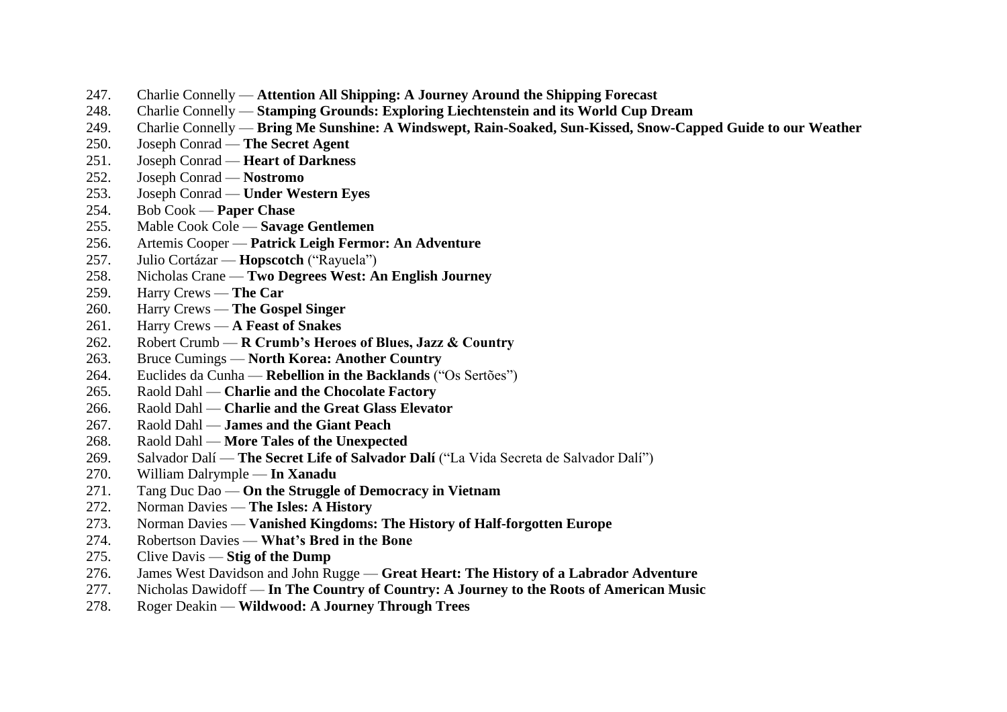- 247. Charlie Connelly **Attention All Shipping: A Journey Around the Shipping Forecast**
- 248. Charlie Connelly **Stamping Grounds: Exploring Liechtenstein and its World Cup Dream**
- 249. Charlie Connelly **Bring Me Sunshine: A Windswept, Rain-Soaked, Sun-Kissed, Snow-Capped Guide to our Weather**
- 250. Joseph Conrad **The Secret Agent**
- 251. Joseph Conrad **Heart of Darkness**
- 252. Joseph Conrad **Nostromo**
- 253. Joseph Conrad **Under Western Eyes**
- 254. Bob Cook **Paper Chase**
- 255. Mable Cook Cole **Savage Gentlemen**
- 256. Artemis Cooper **Patrick Leigh Fermor: An Adventure**
- 257. Julio Cortázar **Hopscotch** ("Rayuela")
- 258. Nicholas Crane **Two Degrees West: An English Journey**
- 259. Harry Crews **The Car**
- 260. Harry Crews **The Gospel Singer**
- 261. Harry Crews **A Feast of Snakes**
- 262. Robert Crumb **R Crumb's Heroes of Blues, Jazz & Country**
- 263. Bruce Cumings **North Korea: Another Country**
- 264. Euclides da Cunha **Rebellion in the Backlands** ("Os Sertões")
- 265. Raold Dahl **Charlie and the Chocolate Factory**
- 266. Raold Dahl **Charlie and the Great Glass Elevator**
- 267. Raold Dahl **James and the Giant Peach**
- 268. Raold Dahl **More Tales of the Unexpected**
- 269. Salvador Dalí **The Secret Life of Salvador Dalí** ("La Vida Secreta de Salvador Dalí")
- 270. William Dalrymple **In Xanadu**
- 271. Tang Duc Dao **On the Struggle of Democracy in Vietnam**
- 272. Norman Davies **The Isles: A History**
- 273. Norman Davies **Vanished Kingdoms: The History of Half-forgotten Europe**
- 274. Robertson Davies **What's Bred in the Bone**
- 275. Clive Davis **Stig of the Dump**
- 276. James West Davidson and John Rugge **Great Heart: The History of a Labrador Adventure**
- 277. Nicholas Dawidoff **In The Country of Country: A Journey to the Roots of American Music**
- 278. Roger Deakin **Wildwood: A Journey Through Trees**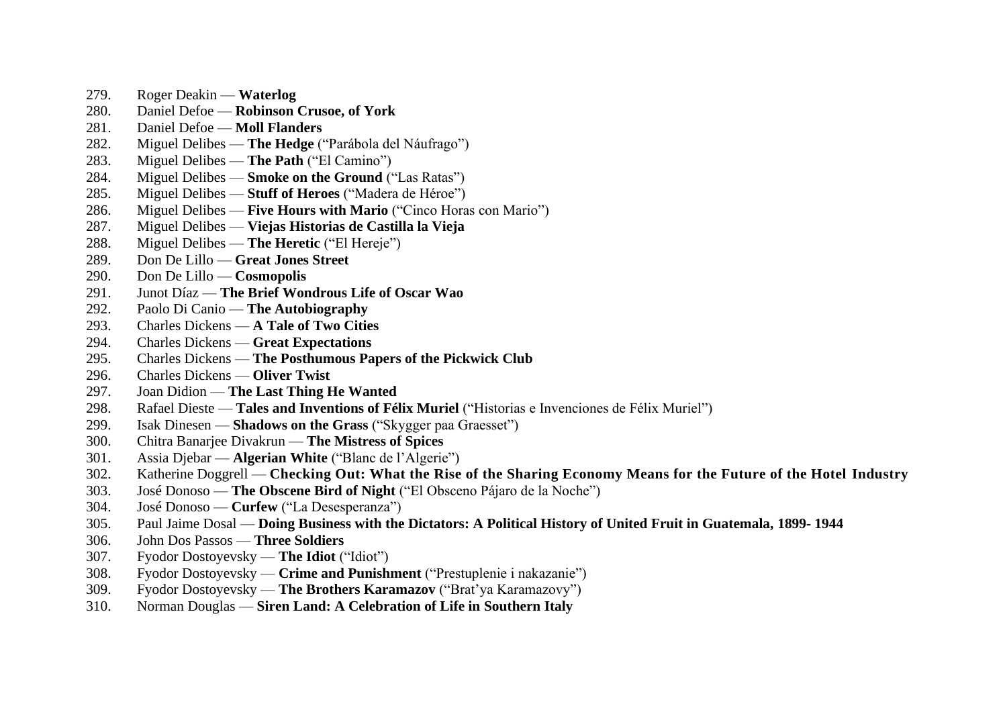- 279. Roger Deakin **Waterlog**
- 280. Daniel Defoe **Robinson Crusoe, of York**
- 281. Daniel Defoe **Moll Flanders**
- 282. Miguel Delibes **The Hedge** ("Parábola del Náufrago")
- 283. Miguel Delibes **The Path** ("El Camino")
- 284. Miguel Delibes **Smoke on the Ground** ("Las Ratas")
- 285. Miguel Delibes **Stuff of Heroes** ("Madera de Héroe")
- 286. Miguel Delibes **Five Hours with Mario** ("Cinco Horas con Mario")
- 287. Miguel Delibes **Viejas Historias de Castilla la Vieja**
- 288. Miguel Delibes **The Heretic** ("El Hereje")
- 289. Don De Lillo **Great Jones Street**
- 290. Don De Lillo **Cosmopolis**
- 291. Junot Díaz **The Brief Wondrous Life of Oscar Wao**
- 292. Paolo Di Canio **The Autobiography**
- 293. Charles Dickens **A Tale of Two Cities**
- 294. Charles Dickens **Great Expectations**
- 295. Charles Dickens **The Posthumous Papers of the Pickwick Club**
- 296. Charles Dickens **Oliver Twist**
- 297. Joan Didion **The Last Thing He Wanted**
- 298. Rafael Dieste **Tales and Inventions of Félix Muriel** ("Historias e Invenciones de Félix Muriel")
- 299. Isak Dinesen **Shadows on the Grass** ("Skygger paa Graesset")
- 300. Chitra Banarjee Divakrun **The Mistress of Spices**
- 301. Assia Djebar **Algerian White** ("Blanc de l'Algerie")
- 302. Katherine Doggrell **Checking Out: What the Rise of the Sharing Economy Means for the Future of the Hotel Industry**
- 303. José Donoso **The Obscene Bird of Night** ("El Obsceno Pájaro de la Noche")
- 304. José Donoso **Curfew** ("La Desesperanza")
- 305. Paul Jaime Dosal **Doing Business with the Dictators: A Political History of United Fruit in Guatemala, 1899- 1944**
- 306. John Dos Passos **Three Soldiers**
- 307. Fyodor Dostoyevsky **The Idiot** ("Idiot")
- 308. Fyodor Dostoyevsky **Crime and Punishment** ("Prestuplenie i nakazanie")
- 309. Fyodor Dostoyevsky **The Brothers Karamazov** ("Brat'ya Karamazovy")
- 310. Norman Douglas **Siren Land: A Celebration of Life in Southern Italy**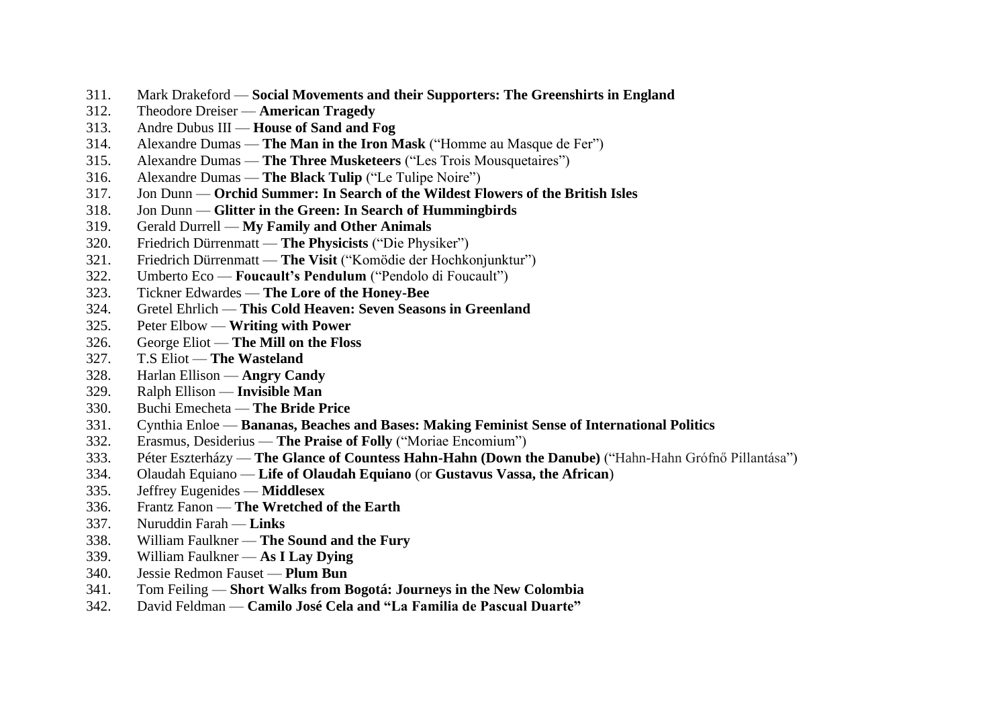- 311. Mark Drakeford **Social Movements and their Supporters: The Greenshirts in England**
- 312. Theodore Dreiser **American Tragedy**
- 313. Andre Dubus III **House of Sand and Fog**
- 314. Alexandre Dumas **The Man in the Iron Mask** ("Homme au Masque de Fer")
- 315. Alexandre Dumas **The Three Musketeers** ("Les Trois Mousquetaires")
- 316. Alexandre Dumas **The Black Tulip** ("Le Tulipe Noire")
- 317. Jon Dunn **Orchid Summer: In Search of the Wildest Flowers of the British Isles**
- 318. Jon Dunn **Glitter in the Green: In Search of Hummingbirds**
- 319. Gerald Durrell **My Family and Other Animals**
- 320. Friedrich Dürrenmatt **The Physicists** ("Die Physiker")
- 321. Friedrich Dürrenmatt **The Visit** ("Komödie der Hochkonjunktur")
- 322. Umberto Eco **Foucault's Pendulum** ("Pendolo di Foucault")
- 323. Tickner Edwardes **The Lore of the Honey-Bee**
- 324. Gretel Ehrlich **This Cold Heaven: Seven Seasons in Greenland**
- 325. Peter Elbow **Writing with Power**
- 326. George Eliot **The Mill on the Floss**
- 327. T.S Eliot **The Wasteland**
- 328. Harlan Ellison **Angry Candy**
- 329. Ralph Ellison **Invisible Man**
- 330. Buchi Emecheta **The Bride Price**
- 331. Cynthia Enloe **Bananas, Beaches and Bases: Making Feminist Sense of International Politics**
- 332. Erasmus, Desiderius **The Praise of Folly** ("Moriae Encomium")
- 333. Péter Eszterházy **The Glance of Countess Hahn-Hahn (Down the Danube)** ("Hahn-Hahn Grófnő Pillantása")
- 334. Olaudah Equiano **Life of Olaudah Equiano** (or **Gustavus Vassa, the African**)
- 335. Jeffrey Eugenides **Middlesex**
- 336. Frantz Fanon **The Wretched of the Earth**
- 337. Nuruddin Farah **Links**
- 338. William Faulkner **The Sound and the Fury**
- 339. William Faulkner **As I Lay Dying**
- 340. Jessie Redmon Fauset **Plum Bun**
- 341. Tom Feiling **Short Walks from Bogotá: Journeys in the New Colombia**
- 342. David Feldman **Camilo José Cela and "La Familia de Pascual Duarte"**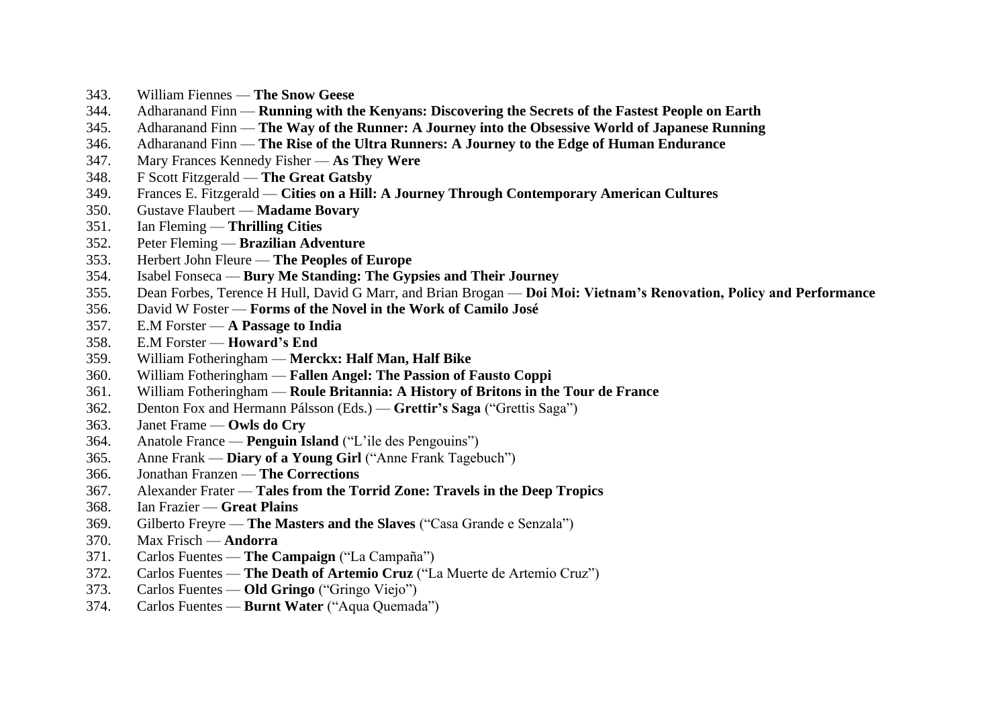- 343. William Fiennes **The Snow Geese**
- 344. Adharanand Finn **Running with the Kenyans: Discovering the Secrets of the Fastest People on Earth**
- 345. Adharanand Finn **The Way of the Runner: A Journey into the Obsessive World of Japanese Running**
- 346. Adharanand Finn **The Rise of the Ultra Runners: A Journey to the Edge of Human Endurance**
- 347. Mary Frances Kennedy Fisher **As They Were**
- 348. F Scott Fitzgerald **The Great Gatsby**
- 349. Frances E. Fitzgerald **Cities on a Hill: A Journey Through Contemporary American Cultures**
- 350. Gustave Flaubert **Madame Bovary**
- 351. Ian Fleming **Thrilling Cities**
- 352. Peter Fleming **Brazilian Adventure**
- 353. Herbert John Fleure **The Peoples of Europe**
- 354. Isabel Fonseca **Bury Me Standing: The Gypsies and Their Journey**
- 355. Dean Forbes, Terence H Hull, David G Marr, and Brian Brogan **Doi Moi: Vietnam's Renovation, Policy and Performance**
- 356. David W Foster **Forms of the Novel in the Work of Camilo José**
- 357. E.M Forster **A Passage to India**
- 358. E.M Forster **Howard's End**
- 359. William Fotheringham **Merckx: Half Man, Half Bike**
- 360. William Fotheringham **Fallen Angel: The Passion of Fausto Coppi**
- 361. William Fotheringham **Roule Britannia: A History of Britons in the Tour de France**
- 362. Denton Fox and Hermann Pálsson (Eds.) **Grettir's Saga** ("Grettis Saga")
- 363. Janet Frame **Owls do Cry**
- 364. Anatole France **Penguin Island** ("L'ile des Pengouins")
- 365. Anne Frank **Diary of a Young Girl** ("Anne Frank Tagebuch")
- 366. Jonathan Franzen **The Corrections**
- 367. Alexander Frater **Tales from the Torrid Zone: Travels in the Deep Tropics**
- 368. Ian Frazier **Great Plains**
- 369. Gilberto Freyre **The Masters and the Slaves** ("Casa Grande e Senzala")
- 370. Max Frisch **Andorra**
- 371. Carlos Fuentes **The Campaign** ("La Campaña")
- 372. Carlos Fuentes **The Death of Artemio Cruz** ("La Muerte de Artemio Cruz")
- 373. Carlos Fuentes **Old Gringo** ("Gringo Viejo")
- 374. Carlos Fuentes **Burnt Water** ("Aqua Quemada")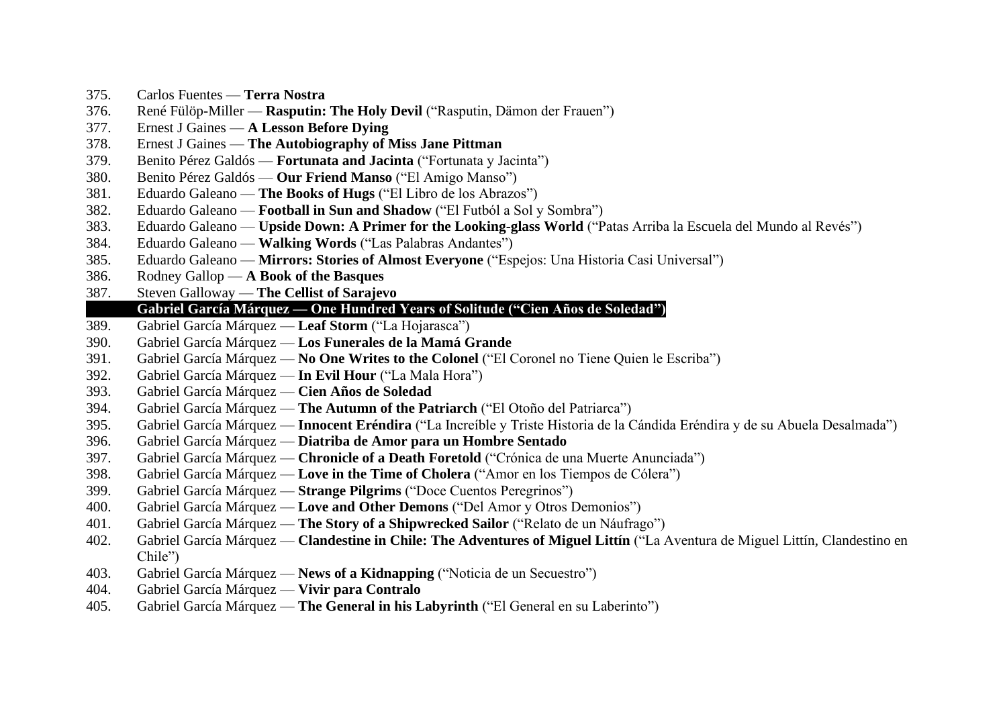- 375. Carlos Fuentes **Terra Nostra**
- 376. René Fülöp-Miller **Rasputin: The Holy Devil** ("Rasputin, Dämon der Frauen")
- 377. Ernest J Gaines **A Lesson Before Dying**
- 378. Ernest J Gaines **The Autobiography of Miss Jane Pittman**
- 379. Benito Pérez Galdós **Fortunata and Jacinta** ("Fortunata y Jacinta")
- 380. Benito Pérez Galdós **Our Friend Manso** ("El Amigo Manso")
- 381. Eduardo Galeano **The Books of Hugs** ("El Libro de los Abrazos")
- 382. Eduardo Galeano **Football in Sun and Shadow** ("El Futból a Sol y Sombra")
- 383. Eduardo Galeano **Upside Down: A Primer for the Looking-glass World** ("Patas Arriba la Escuela del Mundo al Revés")
- 384. Eduardo Galeano **Walking Words** ("Las Palabras Andantes")
- 385. Eduardo Galeano **Mirrors: Stories of Almost Everyone** ("Espejos: Una Historia Casi Universal")
- 386. Rodney Gallop **A Book of the Basques**
- 387. Steven Galloway **The Cellist of Sarajevo**

#### 388. **Gabriel García Márquez — One Hundred Years of Solitude ("Cien Años de Soledad")**

- 389. Gabriel García Márquez **Leaf Storm** ("La Hojarasca")
- 390. Gabriel García Márquez **Los Funerales de la Mamá Grande**
- 391. Gabriel García Márquez **No One Writes to the Colonel** ("El Coronel no Tiene Quien le Escriba")
- 392. Gabriel García Márquez **In Evil Hour** ("La Mala Hora")
- 393. Gabriel García Márquez **Cien Años de Soledad**
- 394. Gabriel García Márquez **The Autumn of the Patriarch** ("El Otoño del Patriarca")
- 395. Gabriel García Márquez **Innocent Eréndira** ("La Increíble y Triste Historia de la Cándida Eréndira y de su Abuela Desalmada")
- 396. Gabriel García Márquez **Diatriba de Amor para un Hombre Sentado**
- 397. Gabriel García Márquez **Chronicle of a Death Foretold** ("Crónica de una Muerte Anunciada")
- 398. Gabriel García Márquez **Love in the Time of Cholera** ("Amor en los Tiempos de Cólera")
- 399. Gabriel García Márquez **Strange Pilgrims** ("Doce Cuentos Peregrinos")
- 400. Gabriel García Márquez **Love and Other Demons** ("Del Amor y Otros Demonios")
- 401. Gabriel García Márquez **The Story of a Shipwrecked Sailor** ("Relato de un Náufrago")
- 402. Gabriel García Márquez **Clandestine in Chile: The Adventures of Miguel Littín** ("La Aventura de Miguel Littín, Clandestino en Chile")
- 403. Gabriel García Márquez **News of a Kidnapping** ("Noticia de un Secuestro")
- 404. Gabriel García Márquez **Vivir para Contralo**
- 405. Gabriel García Márquez **The General in his Labyrinth** ("El General en su Laberinto")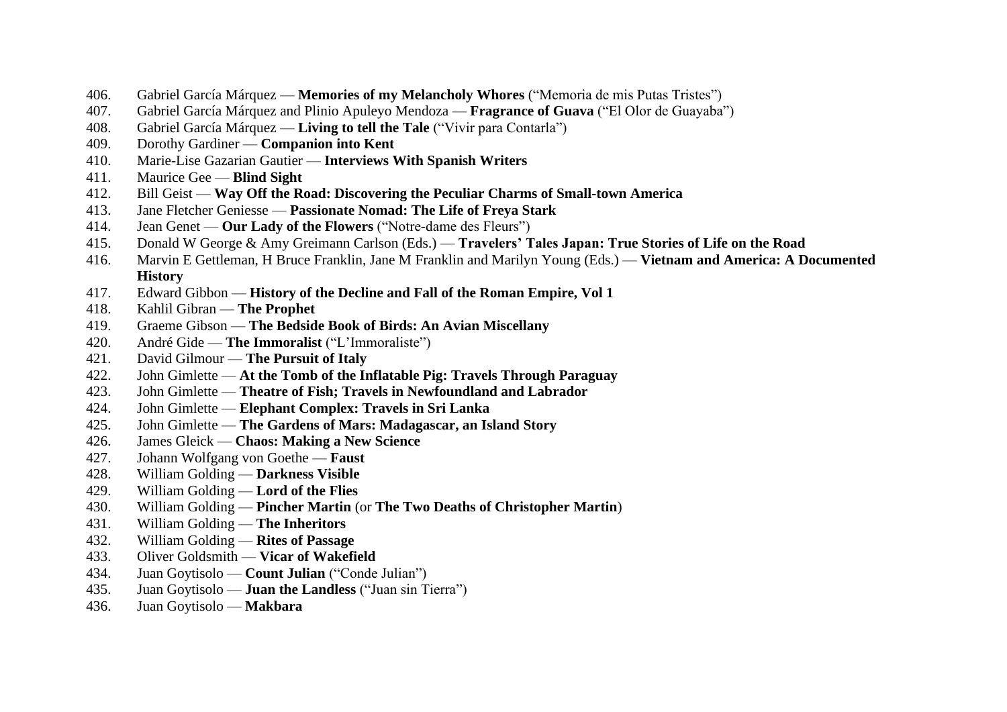- 406. Gabriel García Márquez **Memories of my Melancholy Whores** ("Memoria de mis Putas Tristes")
- 407. Gabriel García Márquez and Plinio Apuleyo Mendoza **Fragrance of Guava** ("El Olor de Guayaba")
- 408. Gabriel García Márquez **Living to tell the Tale** ("Vivir para Contarla")
- 409. Dorothy Gardiner **Companion into Kent**
- 410. Marie-Lise Gazarian Gautier **Interviews With Spanish Writers**
- 411. Maurice Gee **Blind Sight**
- 412. Bill Geist **Way Off the Road: Discovering the Peculiar Charms of Small-town America**
- 413. Jane Fletcher Geniesse **Passionate Nomad: The Life of Freya Stark**
- 414. Jean Genet **Our Lady of the Flowers** ("Notre-dame des Fleurs")
- 415. Donald W George & Amy Greimann Carlson (Eds.) **Travelers' Tales Japan: True Stories of Life on the Road**
- 416. Marvin E Gettleman, H Bruce Franklin, Jane M Franklin and Marilyn Young (Eds.) **Vietnam and America: A Documented History**
- 417. Edward Gibbon **History of the Decline and Fall of the Roman Empire, Vol 1**
- 418. Kahlil Gibran **The Prophet**
- 419. Graeme Gibson **The Bedside Book of Birds: An Avian Miscellany**
- 420. André Gide **The Immoralist** ("L'Immoraliste")
- 421. David Gilmour **The Pursuit of Italy**
- 422. John Gimlette **At the Tomb of the Inflatable Pig: Travels Through Paraguay**
- 423. John Gimlette **Theatre of Fish; Travels in Newfoundland and Labrador**
- 424. John Gimlette **Elephant Complex: Travels in Sri Lanka**
- 425. John Gimlette **The Gardens of Mars: Madagascar, an Island Story**
- 426. James Gleick **Chaos: Making a New Science**
- 427. Johann Wolfgang von Goethe **Faust**
- 428. William Golding **Darkness Visible**
- 429. William Golding **Lord of the Flies**
- 430. William Golding **Pincher Martin** (or **The Two Deaths of Christopher Martin**)
- 431. William Golding **The Inheritors**
- 432. William Golding **Rites of Passage**
- 433. Oliver Goldsmith **Vicar of Wakefield**
- 434. Juan Goytisolo **Count Julian** ("Conde Julian")
- 435. Juan Goytisolo **Juan the Landless** ("Juan sin Tierra")
- 436. Juan Goytisolo **Makbara**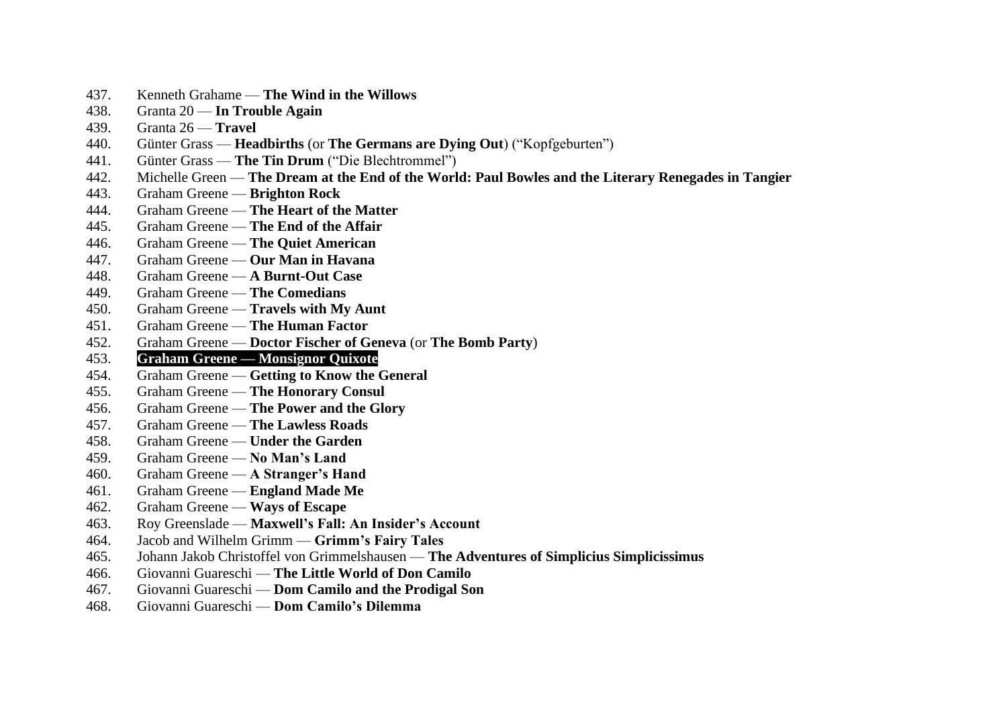- 437. Kenneth Grahame **The Wind in the Willows**
- 438. Granta 20 **In Trouble Again**
- 439. Granta 26 **Travel**
- 440. Günter Grass **Headbirths** (or **The Germans are Dying Out**) ("Kopfgeburten")
- 441. Günter Grass **The Tin Drum** ("Die Blechtrommel")
- 442. Michelle Green **The Dream at the End of the World: Paul Bowles and the Literary Renegades in Tangier**
- 443. Graham Greene **Brighton Rock**
- 444. Graham Greene **The Heart of the Matter**
- 445. Graham Greene **The End of the Affair**
- 446. Graham Greene **The Quiet American**
- 447. Graham Greene **Our Man in Havana**
- 448. Graham Greene **A Burnt-Out Case**
- 449. Graham Greene **The Comedians**
- 450. Graham Greene **Travels with My Aunt**
- 451. Graham Greene **The Human Factor**
- 452. Graham Greene **Doctor Fischer of Geneva** (or **The Bomb Party**)
- 453. **Graham Greene — Monsignor Quixote**
- 454. Graham Greene **Getting to Know the General**
- 455. Graham Greene **The Honorary Consul**
- 456. Graham Greene **The Power and the Glory**
- 457. Graham Greene **The Lawless Roads**
- 458. Graham Greene **Under the Garden**
- 459. Graham Greene **No Man's Land**
- 460. Graham Greene **A Stranger's Hand**
- 461. Graham Greene **England Made Me**
- 462. Graham Greene **Ways of Escape**
- 463. Roy Greenslade **Maxwell's Fall: An Insider's Account**
- 464. Jacob and Wilhelm Grimm **Grimm's Fairy Tales**
- 465. Johann Jakob Christoffel von Grimmelshausen **The Adventures of Simplicius Simplicissimus**
- 466. Giovanni Guareschi **The Little World of Don Camilo**
- 467. Giovanni Guareschi **Dom Camilo and the Prodigal Son**
- 468. Giovanni Guareschi **Dom Camilo's Dilemma**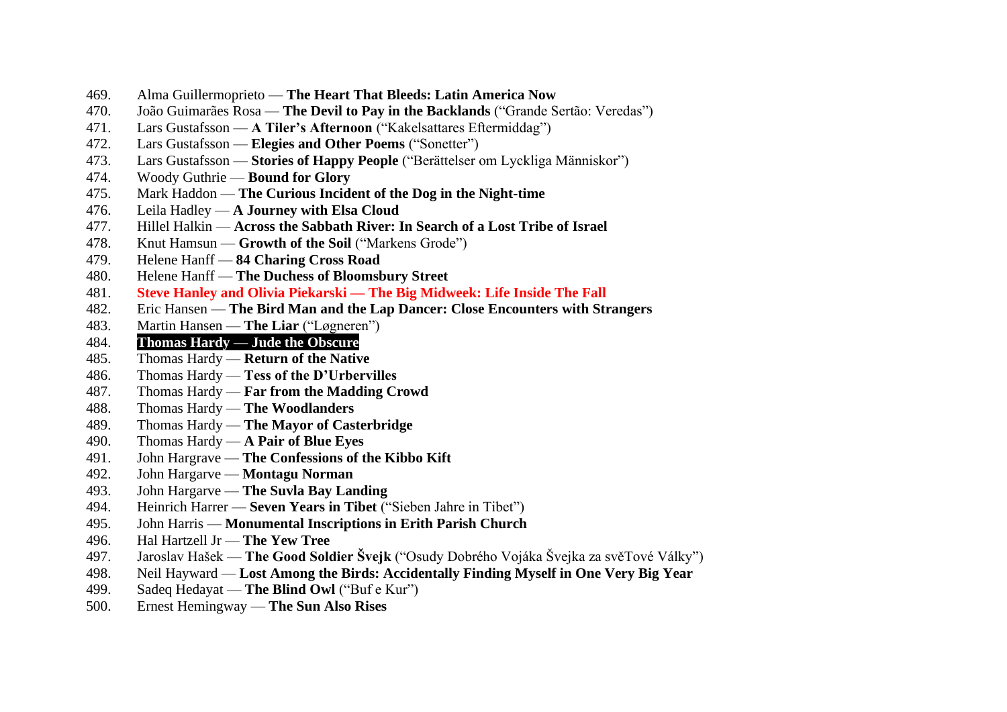- 469. Alma Guillermoprieto **The Heart That Bleeds: Latin America Now**
- 470. João Guimarães Rosa **The Devil to Pay in the Backlands** ("Grande Sertão: Veredas")
- 471. Lars Gustafsson **A Tiler's Afternoon** ("Kakelsattares Eftermiddag")
- 472. Lars Gustafsson **Elegies and Other Poems** ("Sonetter")
- 473. Lars Gustafsson **Stories of Happy People** ("Berättelser om Lyckliga Människor")
- 474. Woody Guthrie **Bound for Glory**
- 475. Mark Haddon **The Curious Incident of the Dog in the Night-time**
- 476. Leila Hadley **A Journey with Elsa Cloud**
- 477. Hillel Halkin **Across the Sabbath River: In Search of a Lost Tribe of Israel**
- 478. Knut Hamsun **Growth of the Soil** ("Markens Grode")
- 479. Helene Hanff **84 Charing Cross Road**
- 480. Helene Hanff **The Duchess of Bloomsbury Street**
- 481. **Steve Hanley and Olivia Piekarski — The Big Midweek: Life Inside The Fall**
- 482. Eric Hansen **The Bird Man and the Lap Dancer: Close Encounters with Strangers**
- 483. Martin Hansen **The Liar** ("Løgneren")
- 484. **Thomas Hardy — Jude the Obscure**
- 485. Thomas Hardy **Return of the Native**
- 486. Thomas Hardy **Tess of the D'Urbervilles**
- 487. Thomas Hardy **Far from the Madding Crowd**
- 488. Thomas Hardy **The Woodlanders**
- 489. Thomas Hardy **The Mayor of Casterbridge**
- 490. Thomas Hardy **A Pair of Blue Eyes**
- 491. John Hargrave **The Confessions of the Kibbo Kift**
- 492. John Hargarve **Montagu Norman**
- 493. John Hargarve **The Suvla Bay Landing**
- 494. Heinrich Harrer **Seven Years in Tibet** ("Sieben Jahre in Tibet")
- 495. John Harris **Monumental Inscriptions in Erith Parish Church**
- 496. Hal Hartzell Jr **The Yew Tree**
- 497. Jaroslav Hašek **The Good Soldier Švejk** ("Osudy Dobrého Vojáka Švejka za svěTové Války")
- 498. Neil Hayward **Lost Among the Birds: Accidentally Finding Myself in One Very Big Year**
- 499. Sadeq Hedayat **The Blind Owl** ("Buf e Kur")
- 500. Ernest Hemingway **The Sun Also Rises**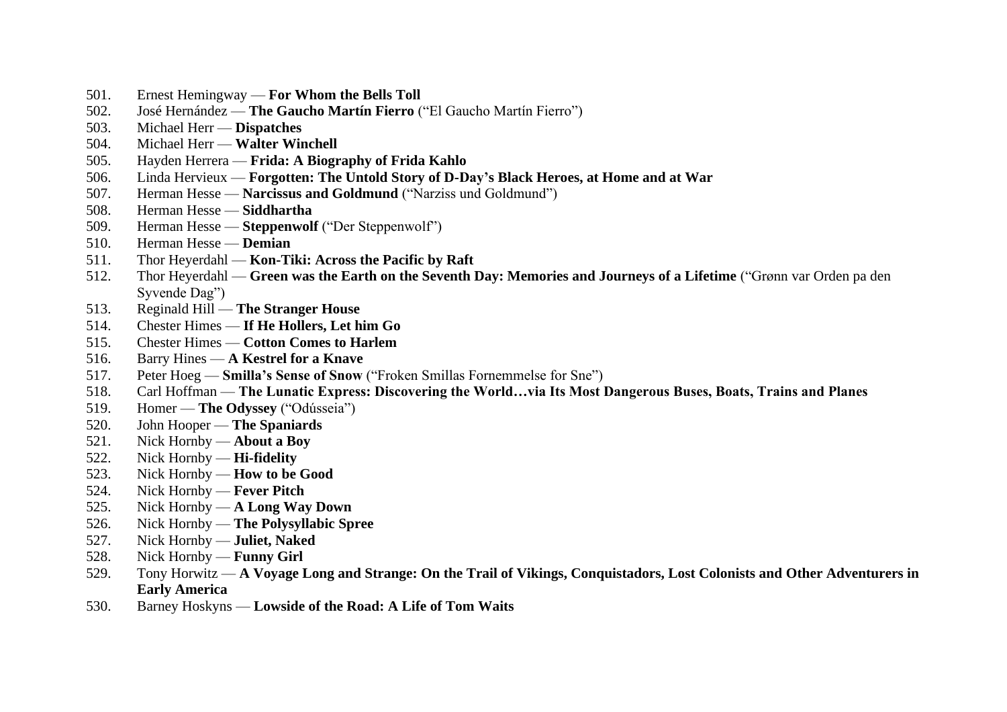- 501. Ernest Hemingway **For Whom the Bells Toll**
- 502. José Hernández **The Gaucho Martín Fierro** ("El Gaucho Martín Fierro")
- 503. Michael Herr **Dispatches**
- 504. Michael Herr **Walter Winchell**
- 505. Hayden Herrera **Frida: A Biography of Frida Kahlo**
- 506. Linda Hervieux **Forgotten: The Untold Story of D-Day's Black Heroes, at Home and at War**
- 507. Herman Hesse **Narcissus and Goldmund** ("Narziss und Goldmund")
- 508. Herman Hesse **Siddhartha**
- 509. Herman Hesse **Steppenwolf** ("Der Steppenwolf")
- 510. Herman Hesse **Demian**
- 511. Thor Heyerdahl **Kon-Tiki: Across the Pacific by Raft**
- 512. Thor Heyerdahl **Green was the Earth on the Seventh Day: Memories and Journeys of a Lifetime** ("Grønn var Orden pa den Syvende Dag")
- 513. Reginald Hill **The Stranger House**
- 514. Chester Himes **If He Hollers, Let him Go**
- 515. Chester Himes **Cotton Comes to Harlem**
- 516. Barry Hines **A Kestrel for a Knave**
- 517. Peter Hoeg **Smilla's Sense of Snow** ("Froken Smillas Fornemmelse for Sne")
- 518. Carl Hoffman **The Lunatic Express: Discovering the World…via Its Most Dangerous Buses, Boats, Trains and Planes**
- 519. Homer **The Odyssey** ("Odússeia")
- 520. John Hooper **The Spaniards**
- 521. Nick Hornby **About a Boy**
- 522. Nick Hornby **Hi-fidelity**
- 523. Nick Hornby **How to be Good**
- 524. Nick Hornby **Fever Pitch**
- 525. Nick Hornby **A Long Way Down**
- 526. Nick Hornby **The Polysyllabic Spree**
- 527. Nick Hornby **Juliet, Naked**
- 528. Nick Hornby **Funny Girl**
- 529. Tony Horwitz **A Voyage Long and Strange: On the Trail of Vikings, Conquistadors, Lost Colonists and Other Adventurers in Early America**
- 530. Barney Hoskyns **Lowside of the Road: A Life of Tom Waits**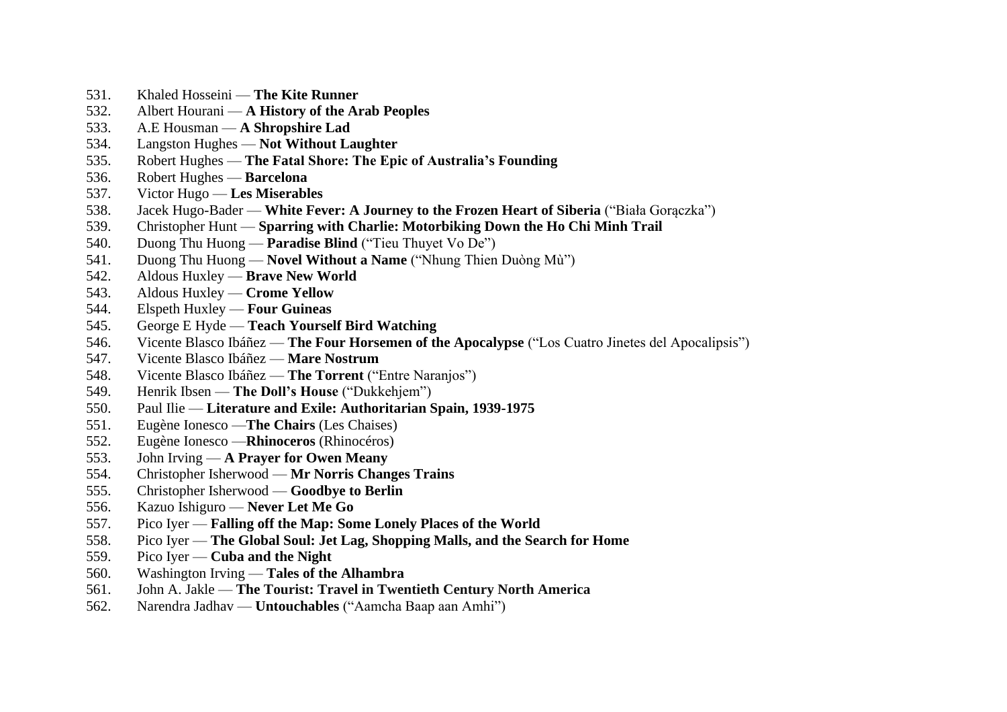- 531. Khaled Hosseini **The Kite Runner**
- 532. Albert Hourani **A History of the Arab Peoples**
- 533. A.E Housman **A Shropshire Lad**
- 534. Langston Hughes **Not Without Laughter**
- 535. Robert Hughes **The Fatal Shore: The Epic of Australia's Founding**
- 536. Robert Hughes **Barcelona**
- 537. Victor Hugo **Les Miserables**
- 538. Jacek Hugo-Bader **White Fever: A Journey to the Frozen Heart of Siberia** ("Biała Gorączka")
- 539. Christopher Hunt **Sparring with Charlie: Motorbiking Down the Ho Chi Minh Trail**
- 540. Duong Thu Huong **Paradise Blind** ("Tieu Thuyet Vo De")
- 541. Duong Thu Huong **Novel Without a Name** ("Nhung Thien Duòng Mù")
- 542. Aldous Huxley **Brave New World**
- 543. Aldous Huxley **Crome Yellow**
- 544. Elspeth Huxley **Four Guineas**
- 545. George E Hyde **Teach Yourself Bird Watching**
- 546. Vicente Blasco Ibáñez **The Four Horsemen of the Apocalypse** ("Los Cuatro Jinetes del Apocalipsis")
- 547. Vicente Blasco Ibáñez **Mare Nostrum**
- 548. Vicente Blasco Ibáñez **The Torrent** ("Entre Naranjos")
- 549. Henrik Ibsen **The Doll's House** ("Dukkehjem")
- 550. Paul Ilie **Literature and Exile: Authoritarian Spain, 1939-1975**
- 551. Eugène Ionesco —**The Chairs** (Les Chaises)
- 552. Eugène Ionesco —**Rhinoceros** (Rhinocéros)
- 553. John Irving **A Prayer for Owen Meany**
- 554. Christopher Isherwood **Mr Norris Changes Trains**
- 555. Christopher Isherwood **Goodbye to Berlin**
- 556. Kazuo Ishiguro **Never Let Me Go**
- 557. Pico Iyer **Falling off the Map: Some Lonely Places of the World**
- 558. Pico Iyer **The Global Soul: Jet Lag, Shopping Malls, and the Search for Home**
- 559. Pico Iyer **Cuba and the Night**
- 560. Washington Irving **Tales of the Alhambra**
- 561. John A. Jakle **The Tourist: Travel in Twentieth Century North America**
- 562. Narendra Jadhav **Untouchables** ("Aamcha Baap aan Amhi")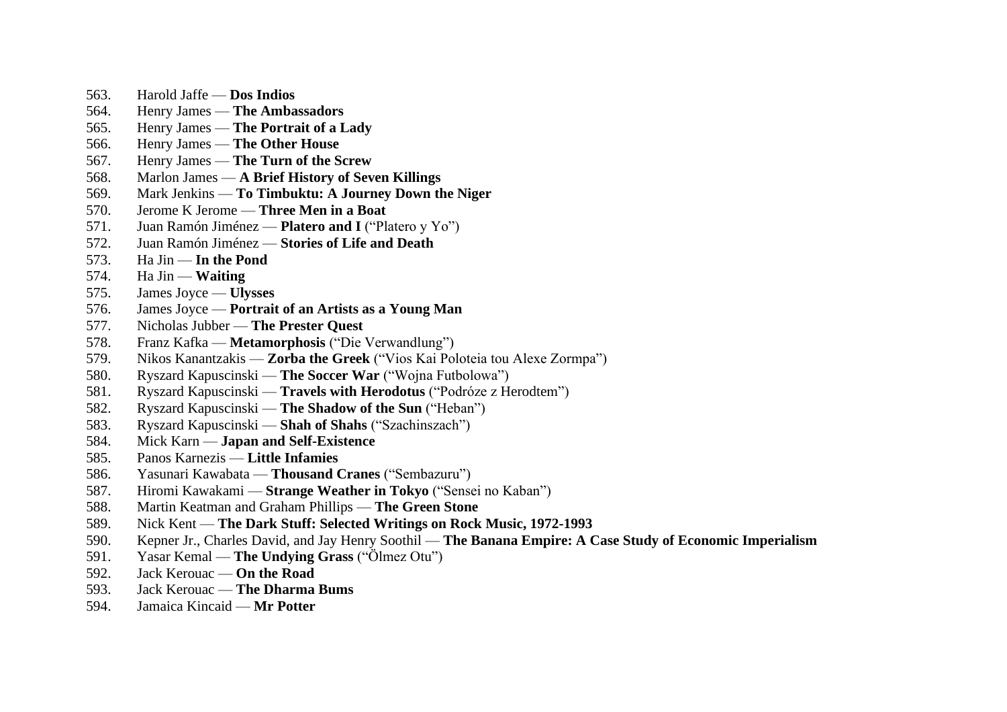- 563. Harold Jaffe **Dos Indios**
- 564. Henry James **The Ambassadors**
- 565. Henry James **The Portrait of a Lady**
- 566. Henry James **The Other House**
- 567. Henry James **The Turn of the Screw**
- 568. Marlon James **A Brief History of Seven Killings**
- 569. Mark Jenkins **To Timbuktu: A Journey Down the Niger**
- 570. Jerome K Jerome **Three Men in a Boat**
- 571. Juan Ramón Jiménez **Platero and I** ("Platero y Yo")
- 572. Juan Ramón Jiménez **Stories of Life and Death**
- 573. Ha Jin **In the Pond**
- 574. Ha Jin **Waiting**
- 575. James Joyce **Ulysses**
- 576. James Joyce **Portrait of an Artists as a Young Man**
- 577. Nicholas Jubber **The Prester Quest**
- 578. Franz Kafka **Metamorphosis** ("Die Verwandlung")
- 579. Nikos Kanantzakis **Zorba the Greek** ("Vios Kai Poloteia tou Alexe Zormpa")
- 580. Ryszard Kapuscinski **The Soccer War** ("Wojna Futbolowa")
- 581. Ryszard Kapuscinski **Travels with Herodotus** ("Podróze z Herodtem")
- 582. Ryszard Kapuscinski **The Shadow of the Sun** ("Heban")
- 583. Ryszard Kapuscinski **Shah of Shahs** ("Szachinszach")
- 584. Mick Karn **Japan and Self-Existence**
- 585. Panos Karnezis **Little Infamies**
- 586. Yasunari Kawabata **Thousand Cranes** ("Sembazuru")
- 587. Hiromi Kawakami **Strange Weather in Tokyo** ("Sensei no Kaban")
- 588. Martin Keatman and Graham Phillips **The Green Stone**
- 589. Nick Kent **The Dark Stuff: Selected Writings on Rock Music, 1972-1993**
- 590. Kepner Jr., Charles David, and Jay Henry Soothil **The Banana Empire: A Case Study of Economic Imperialism**
- 591. Yasar Kemal **The Undying Grass** ("Ölmez Otu")
- 592. Jack Kerouac **On the Road**
- 593. Jack Kerouac **The Dharma Bums**
- 594. Jamaica Kincaid **Mr Potter**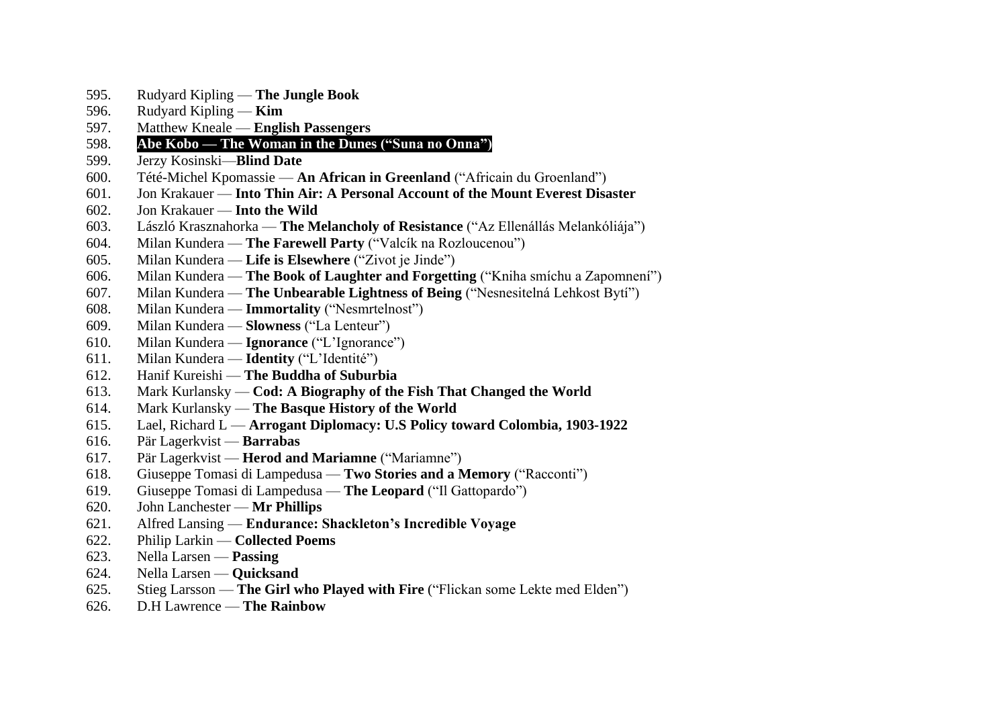- 595. Rudyard Kipling **The Jungle Book**
- 596. Rudyard Kipling **Kim**
- 597. Matthew Kneale **English Passengers**
- 598. **Abe Kobo — The Woman in the Dunes ("Suna no Onna")**
- 599. Jerzy Kosinski—**Blind Date**
- 600. Tété-Michel Kpomassie **An African in Greenland** ("Africain du Groenland")
- 601. Jon Krakauer **Into Thin Air: A Personal Account of the Mount Everest Disaster**
- 602. Jon Krakauer **Into the Wild**
- 603. László Krasznahorka **The Melancholy of Resistance** ("Az Ellenállás Melankóliája")
- 604. Milan Kundera **The Farewell Party** ("Valcík na Rozloucenou")
- 605. Milan Kundera **Life is Elsewhere** ("Zivot je Jinde")
- 606. Milan Kundera **The Book of Laughter and Forgetting** ("Kniha smíchu a Zapomnení")
- 607. Milan Kundera **The Unbearable Lightness of Being** ("Nesnesitelná Lehkost Bytí")
- 608. Milan Kundera **Immortality** ("Nesmrtelnost")
- 609. Milan Kundera **Slowness** ("La Lenteur")
- 610. Milan Kundera **Ignorance** ("L'Ignorance")
- 611. Milan Kundera **Identity** ("L'Identité")
- 612. Hanif Kureishi **The Buddha of Suburbia**
- 613. Mark Kurlansky **Cod: A Biography of the Fish That Changed the World**
- 614. Mark Kurlansky **The Basque History of the World**
- 615. Lael, Richard L **Arrogant Diplomacy: U.S Policy toward Colombia, 1903-1922**
- 616. Pär Lagerkvist **Barrabas**
- 617. Pär Lagerkvist **Herod and Mariamne** ("Mariamne")
- 618. Giuseppe Tomasi di Lampedusa **Two Stories and a Memory** ("Racconti")
- 619. Giuseppe Tomasi di Lampedusa **The Leopard** ("Il Gattopardo")
- 620. John Lanchester **Mr Phillips**
- 621. Alfred Lansing **Endurance: Shackleton's Incredible Voyage**
- 622. Philip Larkin **Collected Poems**
- 623. Nella Larsen **Passing**
- 624. Nella Larsen **Quicksand**
- 625. Stieg Larsson **The Girl who Played with Fire** ("Flickan some Lekte med Elden")
- 626. D.H Lawrence **The Rainbow**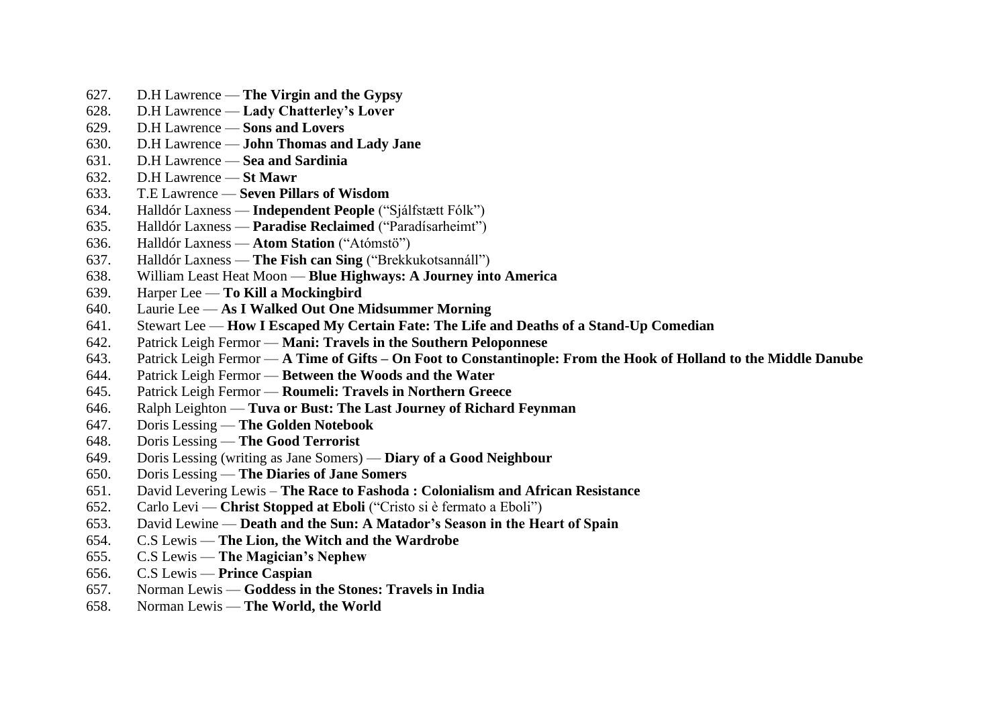- 627. D.H Lawrence **The Virgin and the Gypsy**
- 628. D.H Lawrence **Lady Chatterley's Lover**
- 629. D.H Lawrence **Sons and Lovers**
- 630. D.H Lawrence **John Thomas and Lady Jane**
- 631. D.H Lawrence **Sea and Sardinia**
- 632. D.H Lawrence **St Mawr**
- 633. T.E Lawrence **Seven Pillars of Wisdom**
- 634. Halldór Laxness **Independent People** ("Sjálfstætt Fólk")
- 635. Halldór Laxness **Paradise Reclaimed** ("Paradísarheimt")
- 636. Halldór Laxness **Atom Station** ("Atómstö")
- 637. Halldór Laxness **The Fish can Sing** ("Brekkukotsannáll")
- 638. William Least Heat Moon **Blue Highways: A Journey into America**
- 639. Harper Lee **To Kill a Mockingbird**
- 640. Laurie Lee **As I Walked Out One Midsummer Morning**
- 641. Stewart Lee **How I Escaped My Certain Fate: The Life and Deaths of a Stand-Up Comedian**
- 642. Patrick Leigh Fermor **Mani: Travels in the Southern Peloponnese**
- 643. Patrick Leigh Fermor **A Time of Gifts – On Foot to Constantinople: From the Hook of Holland to the Middle Danube**
- 644. Patrick Leigh Fermor **Between the Woods and the Water**
- 645. Patrick Leigh Fermor **Roumeli: Travels in Northern Greece**
- 646. Ralph Leighton **Tuva or Bust: The Last Journey of Richard Feynman**
- 647. Doris Lessing **The Golden Notebook**
- 648. Doris Lessing **The Good Terrorist**
- 649. Doris Lessing (writing as Jane Somers) **Diary of a Good Neighbour**
- 650. Doris Lessing **The Diaries of Jane Somers**
- 651. David Levering Lewis **The Race to Fashoda : Colonialism and African Resistance**
- 652. Carlo Levi **Christ Stopped at Eboli** ("Cristo si è fermato a Eboli")
- 653. David Lewine **Death and the Sun: A Matador's Season in the Heart of Spain**
- 654. C.S Lewis **The Lion, the Witch and the Wardrobe**
- 655. C.S Lewis **The Magician's Nephew**
- 656. C.S Lewis **Prince Caspian**
- 657. Norman Lewis **Goddess in the Stones: Travels in India**
- 658. Norman Lewis **The World, the World**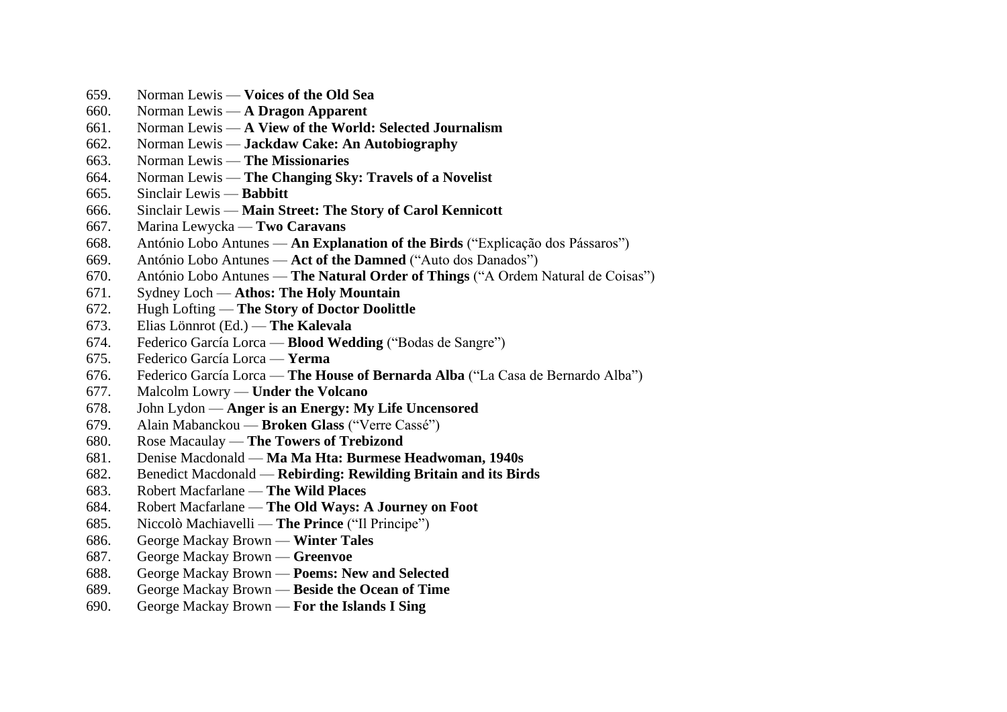- 659. Norman Lewis **Voices of the Old Sea**
- 660. Norman Lewis **A Dragon Apparent**
- 661. Norman Lewis **A View of the World: Selected Journalism**
- 662. Norman Lewis **Jackdaw Cake: An Autobiography**
- 663. Norman Lewis **The Missionaries**
- 664. Norman Lewis **The Changing Sky: Travels of a Novelist**
- 665. Sinclair Lewis **Babbitt**
- 666. Sinclair Lewis **Main Street: The Story of Carol Kennicott**
- 667. Marina Lewycka **Two Caravans**
- 668. António Lobo Antunes **An Explanation of the Birds** ("Explicação dos Pássaros")
- 669. António Lobo Antunes **Act of the Damned** ("Auto dos Danados")
- 670. António Lobo Antunes **The Natural Order of Things** ("A Ordem Natural de Coisas")
- 671. Sydney Loch **Athos: The Holy Mountain**
- 672. Hugh Lofting **The Story of Doctor Doolittle**
- 673. Elias Lönnrot (Ed.) **The Kalevala**
- 674. Federico García Lorca **Blood Wedding** ("Bodas de Sangre")
- 675. Federico García Lorca **Yerma**
- 676. Federico García Lorca **The House of Bernarda Alba** ("La Casa de Bernardo Alba")
- 677. Malcolm Lowry **Under the Volcano**
- 678. John Lydon **Anger is an Energy: My Life Uncensored**
- 679. Alain Mabanckou **Broken Glass** ("Verre Cassé")
- 680. Rose Macaulay **The Towers of Trebizond**
- 681. Denise Macdonald **Ma Ma Hta: Burmese Headwoman, 1940s**
- 682. Benedict Macdonald **Rebirding: Rewilding Britain and its Birds**
- 683. Robert Macfarlane **The Wild Places**
- 684. Robert Macfarlane **The Old Ways: A Journey on Foot**
- 685. Niccolò Machiavelli **The Prince** ("Il Principe")
- 686. George Mackay Brown **Winter Tales**
- 687. George Mackay Brown **Greenvoe**
- 688. George Mackay Brown **Poems: New and Selected**
- 689. George Mackay Brown **Beside the Ocean of Time**
- 690. George Mackay Brown **For the Islands I Sing**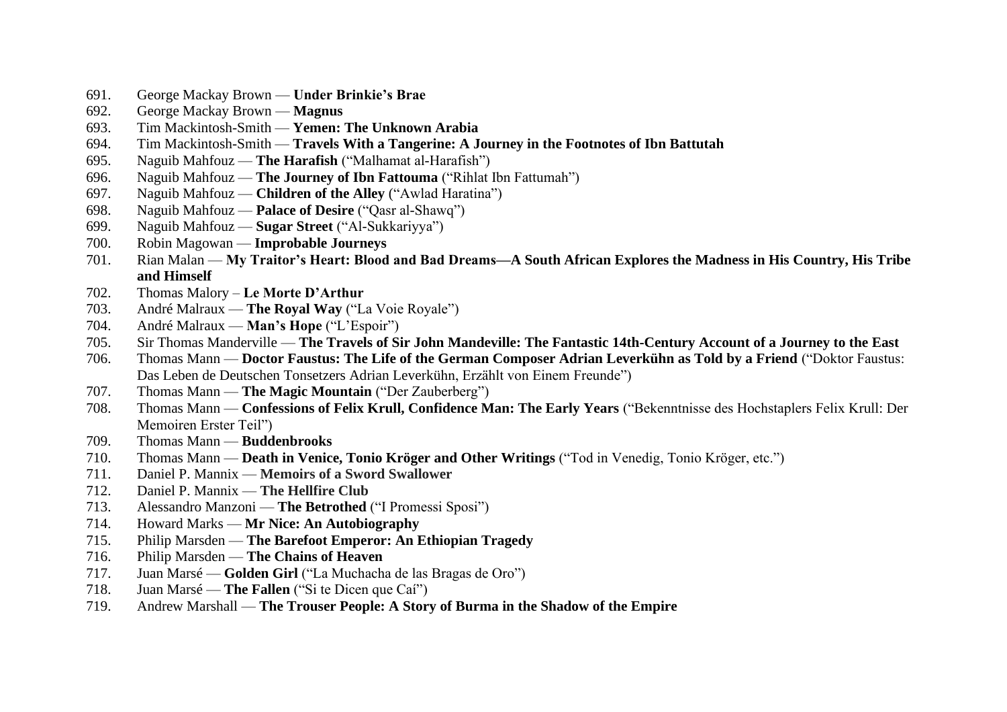- 691. George Mackay Brown **Under Brinkie's Brae**
- 692. George Mackay Brown **Magnus**
- 693. Tim Mackintosh-Smith **Yemen: The Unknown Arabia**
- 694. Tim Mackintosh-Smith **Travels With a Tangerine: A Journey in the Footnotes of Ibn Battutah**
- 695. Naguib Mahfouz **The Harafish** ("Malhamat al-Harafish")
- 696. Naguib Mahfouz **The Journey of Ibn Fattouma** ("Rihlat Ibn Fattumah")
- 697. Naguib Mahfouz **Children of the Alley** ("Awlad Haratina")
- 698. Naguib Mahfouz **Palace of Desire** ("Qasr al-Shawq")
- 699. Naguib Mahfouz **Sugar Street** ("Al-Sukkariyya")
- 700. Robin Magowan **Improbable Journeys**
- 701. Rian Malan **My Traitor's Heart: Blood and Bad Dreams—A South African Explores the Madness in His Country, His Tribe and Himself**
- 702. Thomas Malory **Le Morte D'Arthur**
- 703. André Malraux **The Royal Way** ("La Voie Royale")
- 704. André Malraux **Man's Hope** ("L'Espoir")
- 705. Sir Thomas Manderville **The Travels of Sir John Mandeville: The Fantastic 14th-Century Account of a Journey to the East**
- 706. Thomas Mann **Doctor Faustus: The Life of the German Composer Adrian Leverkühn as Told by a Friend** ("Doktor Faustus: Das Leben de Deutschen Tonsetzers Adrian Leverkühn, Erzählt von Einem Freunde")
- 707. Thomas Mann **The Magic Mountain** ("Der Zauberberg")
- 708. Thomas Mann **Confessions of Felix Krull, Confidence Man: The Early Years** ("Bekenntnisse des Hochstaplers Felix Krull: Der Memoiren Erster Teil")
- 709. Thomas Mann **Buddenbrooks**
- 710. Thomas Mann **Death in Venice, Tonio Kröger and Other Writings** ("Tod in Venedig, Tonio Kröger, etc.")
- 711. Daniel P. Mannix **Memoirs of a Sword Swallower**
- 712. Daniel P. Mannix **The Hellfire Club**
- 713. Alessandro Manzoni **The Betrothed** ("I Promessi Sposi")
- 714. Howard Marks **Mr Nice: An Autobiography**
- 715. Philip Marsden **The Barefoot Emperor: An Ethiopian Tragedy**
- 716. Philip Marsden **The Chains of Heaven**
- 717. Juan Marsé **Golden Girl** ("La Muchacha de las Bragas de Oro")
- 718. Juan Marsé **The Fallen** ("Si te Dicen que Caí")
- 719. Andrew Marshall **The Trouser People: A Story of Burma in the Shadow of the Empire**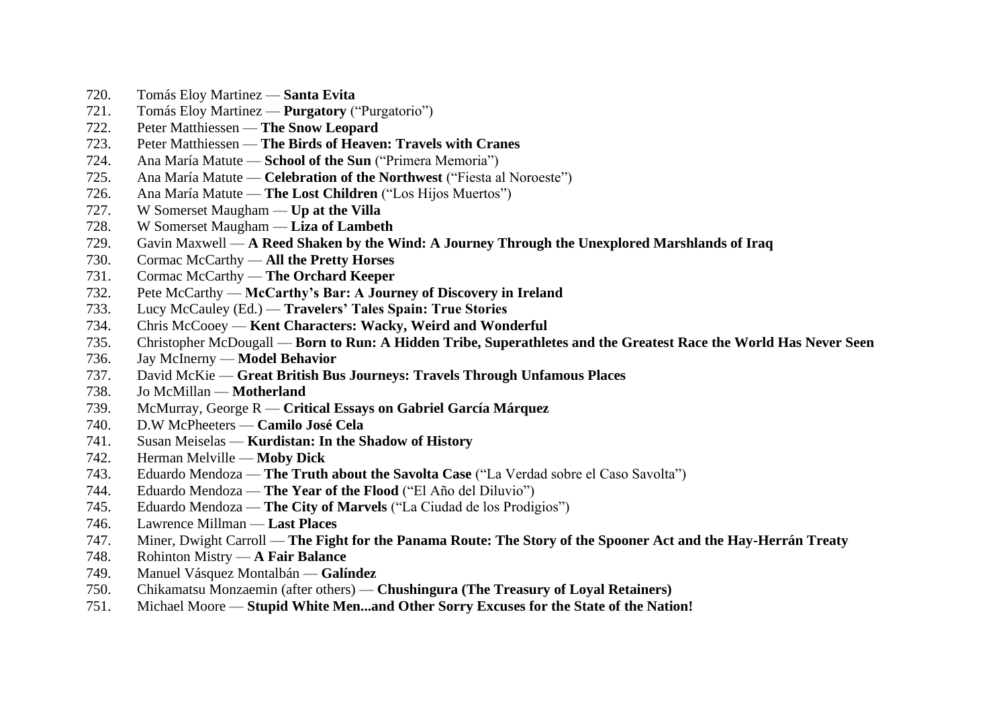- 720. Tomás Eloy Martinez **Santa Evita**
- 721. Tomás Eloy Martinez **Purgatory** ("Purgatorio")
- 722. Peter Matthiessen **The Snow Leopard**
- 723. Peter Matthiessen **The Birds of Heaven: Travels with Cranes**
- 724. Ana María Matute **School of the Sun** ("Primera Memoria")
- 725. Ana María Matute **Celebration of the Northwest** ("Fiesta al Noroeste")
- 726. Ana María Matute **The Lost Children** ("Los Hijos Muertos")
- 727. W Somerset Maugham **Up at the Villa**
- 728. W Somerset Maugham **Liza of Lambeth**
- 729. Gavin Maxwell **A Reed Shaken by the Wind: A Journey Through the Unexplored Marshlands of Iraq**
- 730. Cormac McCarthy **All the Pretty Horses**
- 731. Cormac McCarthy **The Orchard Keeper**
- 732. Pete McCarthy **McCarthy's Bar: A Journey of Discovery in Ireland**
- 733. Lucy McCauley (Ed.) **Travelers' Tales Spain: True Stories**
- 734. Chris McCooey **Kent Characters: Wacky, Weird and Wonderful**
- 735. Christopher McDougall **Born to Run: A Hidden Tribe, Superathletes and the Greatest Race the World Has Never Seen**
- 736. Jay McInerny **Model Behavior**
- 737. David McKie **Great British Bus Journeys: Travels Through Unfamous Places**
- 738. Jo McMillan **Motherland**
- 739. McMurray, George R **Critical Essays on Gabriel García Márquez**
- 740. D.W McPheeters **Camilo José Cela**
- 741. Susan Meiselas **Kurdistan: In the Shadow of History**
- 742. Herman Melville **Moby Dick**
- 743. Eduardo Mendoza **The Truth about the Savolta Case** ("La Verdad sobre el Caso Savolta")
- 744. Eduardo Mendoza **The Year of the Flood** ("El Año del Diluvio")
- 745. Eduardo Mendoza **The City of Marvels** ("La Ciudad de los Prodigios")
- 746. Lawrence Millman **Last Places**
- 747. Miner, Dwight Carroll **The Fight for the Panama Route: The Story of the Spooner Act and the Hay-Herrán Treaty**
- 748. Rohinton Mistry **A Fair Balance**
- 749. Manuel Vásquez Montalbán **Galíndez**
- 750. Chikamatsu Monzaemin (after others) **Chushingura (The Treasury of Loyal Retainers)**
- 751. Michael Moore **Stupid White Men...and Other Sorry Excuses for the State of the Nation!**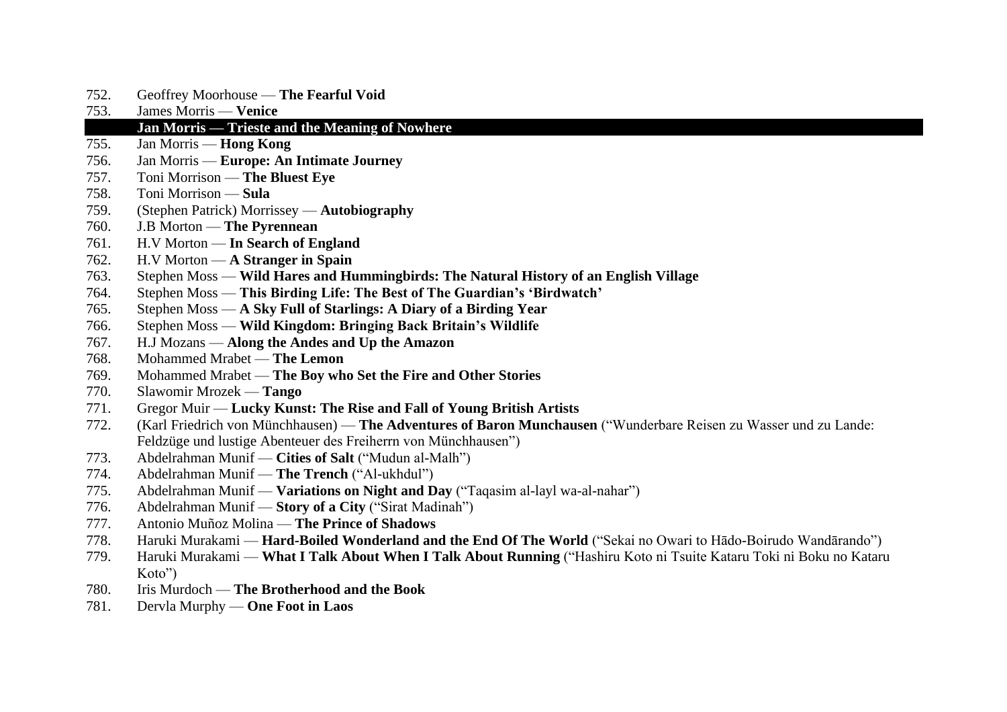- 752. Geoffrey Moorhouse **The Fearful Void**
- 753. James Morris **Venice**

### 754. **Jan Morris — Trieste and the Meaning of Nowhere**

- 755. Jan Morris **Hong Kong**
- 756. Jan Morris **Europe: An Intimate Journey**
- 757. Toni Morrison **The Bluest Eye**
- 758. Toni Morrison **Sula**
- 759. (Stephen Patrick) Morrissey **Autobiography**
- 760. J.B Morton **The Pyrennean**
- 761. H.V Morton **In Search of England**
- 762. H.V Morton **A Stranger in Spain**
- 763. Stephen Moss **Wild Hares and Hummingbirds: The Natural History of an English Village**
- 764. Stephen Moss **This Birding Life: The Best of The Guardian's 'Birdwatch'**
- 765. Stephen Moss **A Sky Full of Starlings: A Diary of a Birding Year**
- 766. Stephen Moss **Wild Kingdom: Bringing Back Britain's Wildlife**
- 767. H.J Mozans **Along the Andes and Up the Amazon**
- 768. Mohammed Mrabet **The Lemon**
- 769. Mohammed Mrabet **The Boy who Set the Fire and Other Stories**
- 770. Slawomir Mrozek **Tango**
- 771. Gregor Muir **Lucky Kunst: The Rise and Fall of Young British Artists**
- 772. (Karl Friedrich von Münchhausen) **The Adventures of Baron Munchausen** ("Wunderbare Reisen zu Wasser und zu Lande: Feldzüge und lustige Abenteuer des Freiherrn von Münchhausen")
- 773. Abdelrahman Munif **Cities of Salt** ("Mudun al-Malh")
- 774. Abdelrahman Munif **The Trench** ("Al-ukhdul")
- 775. Abdelrahman Munif **Variations on Night and Day** ("Taqasim al-layl wa-al-nahar")
- 776. Abdelrahman Munif **Story of a City** ("Sirat Madinah")
- 777. Antonio Muñoz Molina **The Prince of Shadows**
- 778. Haruki Murakami **Hard-Boiled Wonderland and the End Of The World** ("Sekai no Owari to Hādo-Boirudo Wandārando")
- 779. Haruki Murakami **What I Talk About When I Talk About Running** ("Hashiru Koto ni Tsuite Kataru Toki ni Boku no Kataru Koto")
- 780. Iris Murdoch **The Brotherhood and the Book**
- 781. Dervla Murphy **One Foot in Laos**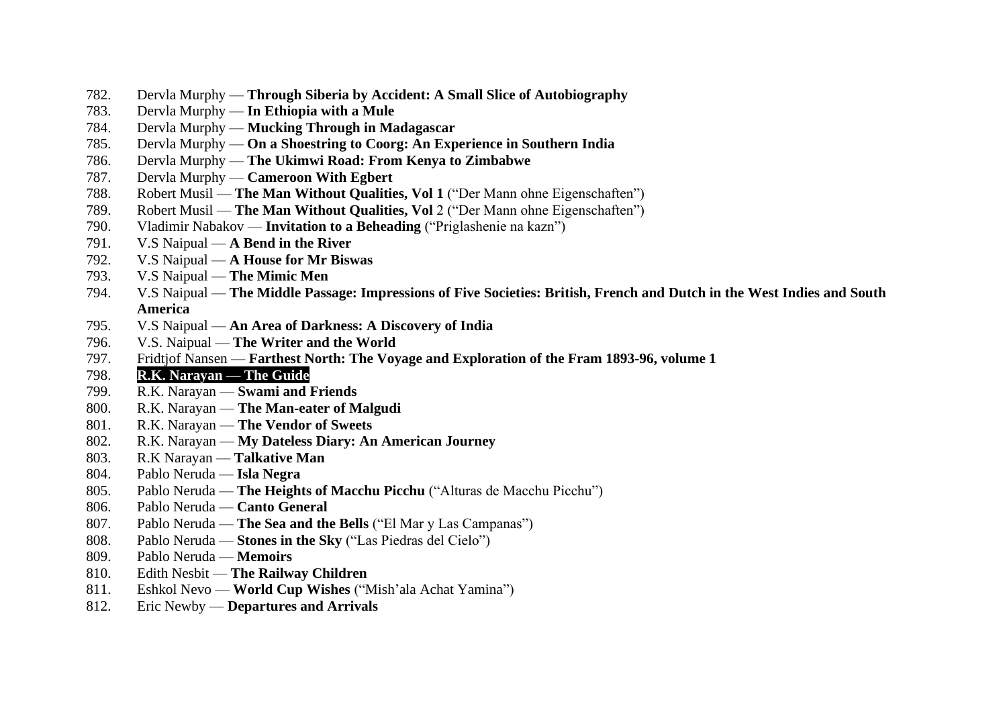- 782. Dervla Murphy **Through Siberia by Accident: A Small Slice of Autobiography**
- 783. Dervla Murphy **In Ethiopia with a Mule**
- 784. Dervla Murphy **Mucking Through in Madagascar**
- 785. Dervla Murphy **On a Shoestring to Coorg: An Experience in Southern India**
- 786. Dervla Murphy **The Ukimwi Road: From Kenya to Zimbabwe**
- 787. Dervla Murphy **Cameroon With Egbert**
- 788. Robert Musil **The Man Without Qualities, Vol 1** ("Der Mann ohne Eigenschaften")
- 789. Robert Musil **The Man Without Qualities, Vol** 2 ("Der Mann ohne Eigenschaften")
- 790. Vladimir Nabakov **Invitation to a Beheading** ("Priglashenie na kazn")
- 791. V.S Naipual **A Bend in the River**
- 792. V.S Naipual **A House for Mr Biswas**
- 793. V.S Naipual **The Mimic Men**
- 794. V.S Naipual **The Middle Passage: Impressions of Five Societies: British, French and Dutch in the West Indies and South America**
- 795. V.S Naipual **An Area of Darkness: A Discovery of India**
- 796. V.S. Naipual **The Writer and the World**
- 797. Fridtjof Nansen **Farthest North: The Voyage and Exploration of the Fram 1893-96, volume 1**
- 798. **R.K. Narayan — The Guide**
- 799. R.K. Narayan **Swami and Friends**
- 800. R.K. Narayan **The Man-eater of Malgudi**
- 801. R.K. Narayan **The Vendor of Sweets**
- 802. R.K. Narayan **My Dateless Diary: An American Journey**
- 803. R.K Narayan **Talkative Man**
- 804. Pablo Neruda **Isla Negra**
- 805. Pablo Neruda **The Heights of Macchu Picchu** ("Alturas de Macchu Picchu")
- 806. Pablo Neruda **Canto General**
- 807. Pablo Neruda **The Sea and the Bells** ("El Mar y Las Campanas")
- 808. Pablo Neruda **Stones in the Sky** ("Las Piedras del Cielo")
- 809. Pablo Neruda **Memoirs**
- 810. Edith Nesbit **The Railway Children**
- 811. Eshkol Nevo **World Cup Wishes** ("Mish'ala Achat Yamina")
- 812. Eric Newby **Departures and Arrivals**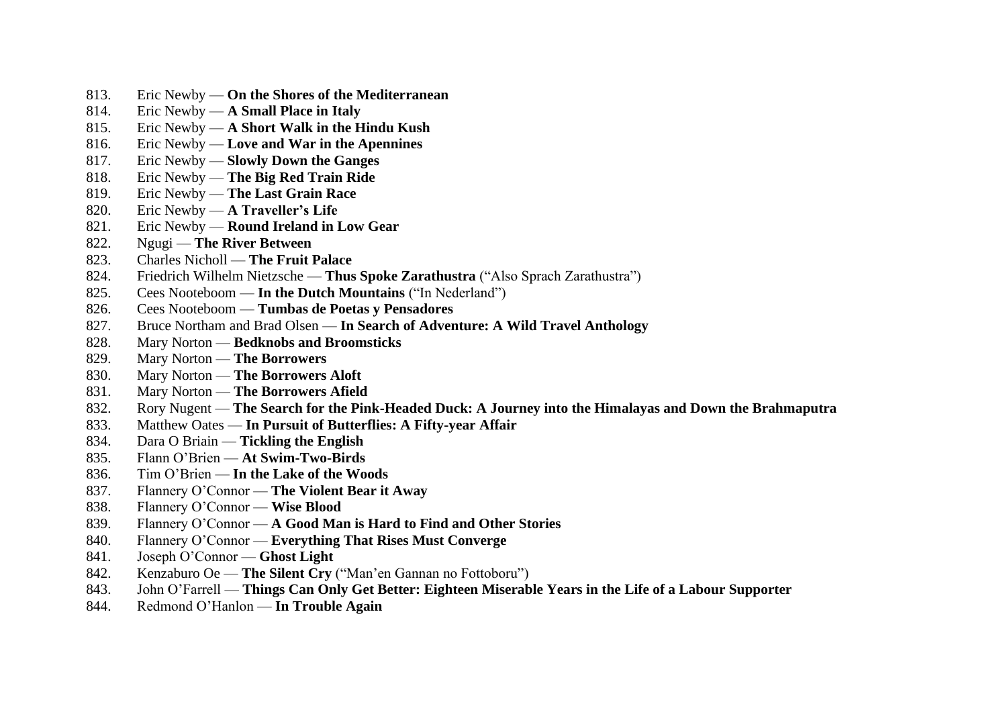- 813. Eric Newby **On the Shores of the Mediterranean**
- 814. Eric Newby **A Small Place in Italy**
- 815. Eric Newby **A Short Walk in the Hindu Kush**
- 816. Eric Newby **Love and War in the Apennines**
- 817. Eric Newby **Slowly Down the Ganges**
- 818. Eric Newby **The Big Red Train Ride**
- 819. Eric Newby **The Last Grain Race**
- 820. Eric Newby **A Traveller's Life**
- 821. Eric Newby **Round Ireland in Low Gear**
- 822. Ngugi **The River Between**
- 823. Charles Nicholl **The Fruit Palace**
- 824. Friedrich Wilhelm Nietzsche **Thus Spoke Zarathustra** ("Also Sprach Zarathustra")
- 825. Cees Nooteboom **In the Dutch Mountains** ("In Nederland")
- 826. Cees Nooteboom **Tumbas de Poetas y Pensadores**
- 827. Bruce Northam and Brad Olsen **In Search of Adventure: A Wild Travel Anthology**
- 828. Mary Norton **Bedknobs and Broomsticks**
- 829. Mary Norton **The Borrowers**
- 830. Mary Norton **The Borrowers Aloft**
- 831. Mary Norton **The Borrowers Afield**
- 832. Rory Nugent **The Search for the Pink-Headed Duck: A Journey into the Himalayas and Down the Brahmaputra**
- 833. Matthew Oates **In Pursuit of Butterflies: A Fifty-year Affair**
- 834. Dara O Briain **Tickling the English**
- 835. Flann O'Brien **At Swim-Two-Birds**
- 836. Tim O'Brien **In the Lake of the Woods**
- 837. Flannery O'Connor **The Violent Bear it Away**
- 838. Flannery O'Connor **Wise Blood**
- 839. Flannery O'Connor **A Good Man is Hard to Find and Other Stories**
- 840. Flannery O'Connor **Everything That Rises Must Converge**
- 841. Joseph O'Connor **Ghost Light**
- 842. Kenzaburo Oe **The Silent Cry** ("Man'en Gannan no Fottoboru")
- 843. John O'Farrell **Things Can Only Get Better: Eighteen Miserable Years in the Life of a Labour Supporter**
- 844. Redmond O'Hanlon **In Trouble Again**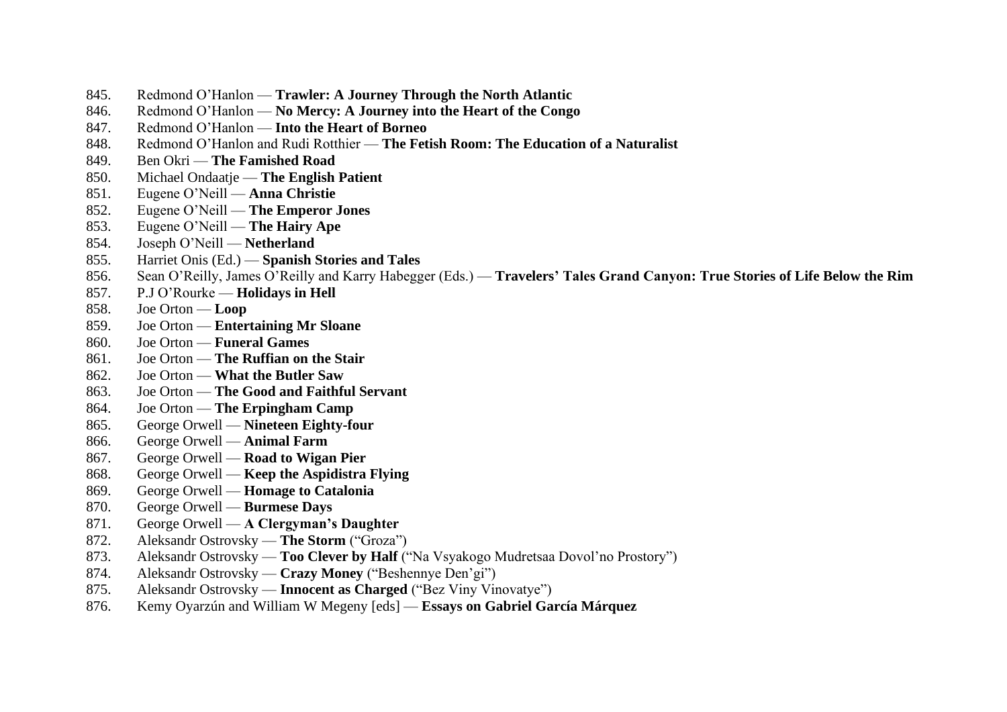- 845. Redmond O'Hanlon **Trawler: A Journey Through the North Atlantic**
- 846. Redmond O'Hanlon **No Mercy: A Journey into the Heart of the Congo**
- 847. Redmond O'Hanlon **Into the Heart of Borneo**
- 848. Redmond O'Hanlon and Rudi Rotthier **The Fetish Room: The Education of a Naturalist**
- 849. Ben Okri **The Famished Road**
- 850. Michael Ondaatje **The English Patient**
- 851. Eugene O'Neill **Anna Christie**
- 852. Eugene O'Neill **The Emperor Jones**
- 853. Eugene O'Neill **The Hairy Ape**
- 854. Joseph O'Neill **Netherland**
- 855. Harriet Onis (Ed.) **Spanish Stories and Tales**
- 856. Sean O'Reilly, James O'Reilly and Karry Habegger (Eds.) **Travelers' Tales Grand Canyon: True Stories of Life Below the Rim**
- 857. P.J O'Rourke **Holidays in Hell**
- 858. Joe Orton **Loop**
- 859. Joe Orton **Entertaining Mr Sloane**
- 860. Joe Orton **Funeral Games**
- 861. Joe Orton **The Ruffian on the Stair**
- 862. Joe Orton **What the Butler Saw**
- 863. Joe Orton **The Good and Faithful Servant**
- 864. Joe Orton **The Erpingham Camp**
- 865. George Orwell **Nineteen Eighty-four**
- 866. George Orwell **Animal Farm**
- 867. George Orwell **Road to Wigan Pier**
- 868. George Orwell **Keep the Aspidistra Flying**
- 869. George Orwell **Homage to Catalonia**
- 870. George Orwell **Burmese Days**
- 871. George Orwell **A Clergyman's Daughter**
- 872. Aleksandr Ostrovsky **The Storm** ("Groza")
- 873. Aleksandr Ostrovsky **Too Clever by Half** ("Na Vsyakogo Mudretsaa Dovol'no Prostory")
- 874. Aleksandr Ostrovsky **Crazy Money** ("Beshennye Den'gi")
- 875. Aleksandr Ostrovsky **Innocent as Charged** ("Bez Viny Vinovatye")
- 876. Kemy Oyarzún and William W Megeny [eds] **Essays on Gabriel García Márquez**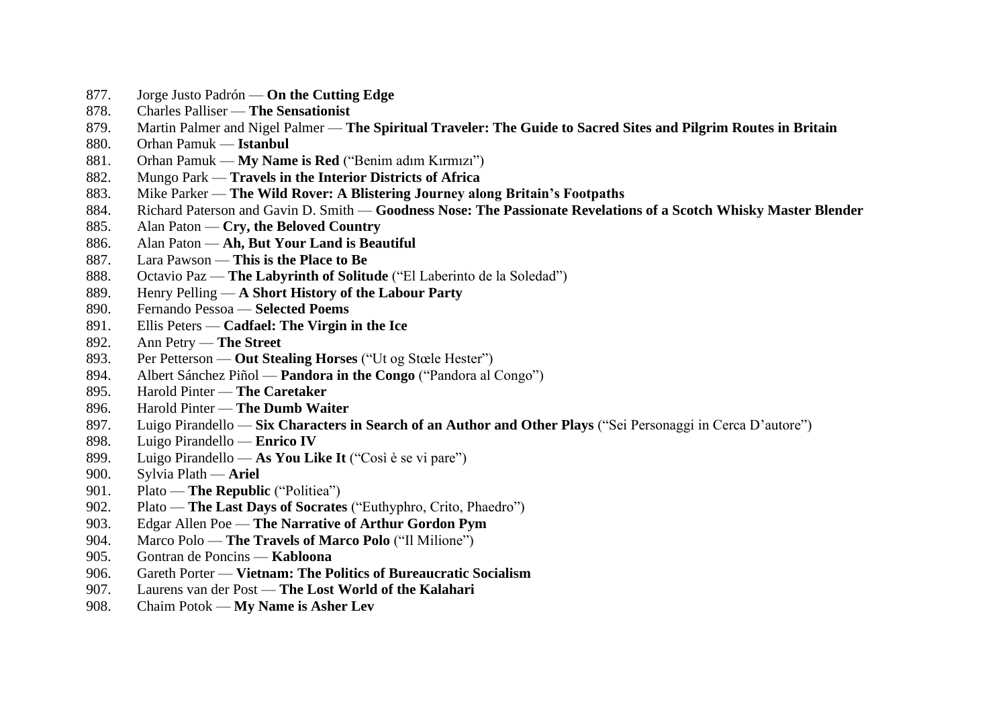- 877. Jorge Justo Padrón **On the Cutting Edge**
- 878. Charles Palliser **The Sensationist**
- 879. Martin Palmer and Nigel Palmer **The Spiritual Traveler: The Guide to Sacred Sites and Pilgrim Routes in Britain**
- 880. Orhan Pamuk **Istanbul**
- 881. Orhan Pamuk **My Name is Red** ("Benim adım Kırmızı")
- 882. Mungo Park **Travels in the Interior Districts of Africa**
- 883. Mike Parker **The Wild Rover: A Blistering Journey along Britain's Footpaths**
- 884. Richard Paterson and Gavin D. Smith **Goodness Nose: The Passionate Revelations of a Scotch Whisky Master Blender**
- 885. Alan Paton **Cry, the Beloved Country**
- 886. Alan Paton **Ah, But Your Land is Beautiful**
- 887. Lara Pawson **This is the Place to Be**
- 888. Octavio Paz **The Labyrinth of Solitude** ("El Laberinto de la Soledad")
- 889. Henry Pelling **A Short History of the Labour Party**
- 890. Fernando Pessoa **Selected Poems**
- 891. Ellis Peters **Cadfael: The Virgin in the Ice**
- 892. Ann Petry **The Street**
- 893. Per Petterson **Out Stealing Horses** ("Ut og Stœle Hester")
- 894. Albert Sánchez Piñol **Pandora in the Congo** ("Pandora al Congo")
- 895. Harold Pinter **The Caretaker**
- 896. Harold Pinter **The Dumb Waiter**
- 897. Luigo Pirandello **Six Characters in Search of an Author and Other Plays** ("Sei Personaggi in Cerca D'autore")
- 898. Luigo Pirandello **Enrico IV**
- 899. Luigo Pirandello **As You Like It** ("Così è se vi pare")
- 900. Sylvia Plath **Ariel**
- 901. Plato **The Republic** ("Politiea")
- 902. Plato **The Last Days of Socrates** ("Euthyphro, Crito, Phaedro")
- 903. Edgar Allen Poe **The Narrative of Arthur Gordon Pym**
- 904. Marco Polo **The Travels of Marco Polo** ("Il Milione")
- 905. Gontran de Poncins **Kabloona**
- 906. Gareth Porter **Vietnam: The Politics of Bureaucratic Socialism**
- 907. Laurens van der Post **The Lost World of the Kalahari**
- 908. Chaim Potok **My Name is Asher Lev**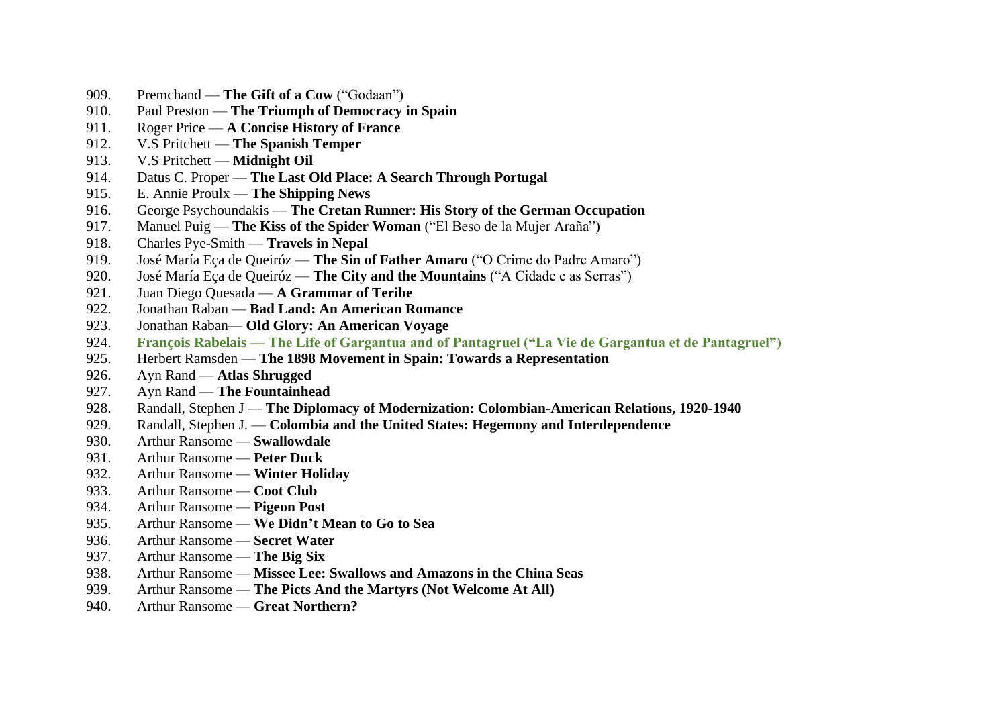- 909. Premchand **The Gift of a Cow** ("Godaan")
- 910. Paul Preston **The Triumph of Democracy in Spain**
- 911. Roger Price **A Concise History of France**
- 912. V.S Pritchett **The Spanish Temper**
- 913. V.S Pritchett **Midnight Oil**
- 914. Datus C. Proper **The Last Old Place: A Search Through Portugal**
- 915. E. Annie Proulx **The Shipping News**
- 916. George Psychoundakis **The Cretan Runner: His Story of the German Occupation**
- 917. Manuel Puig **The Kiss of the Spider Woman** ("El Beso de la Mujer Araña")
- 918. Charles Pye-Smith **Travels in Nepal**
- 919. José María Eça de Queiróz **The Sin of Father Amaro** ("O Crime do Padre Amaro")
- 920. José María Eça de Queiróz **The City and the Mountains** ("A Cidade e as Serras")
- 921. Juan Diego Quesada **A Grammar of Teribe**
- 922. Jonathan Raban **Bad Land: An American Romance**
- 923. Jonathan Raban— **Old Glory: An American Voyage**
- 924. **François Rabelais — The Life of Gargantua and of Pantagruel ("La Vie de Gargantua et de Pantagruel")**
- 925. Herbert Ramsden **The 1898 Movement in Spain: Towards a Representation**
- 926. Ayn Rand **Atlas Shrugged**
- 927. Ayn Rand **The Fountainhead**
- 928. Randall, Stephen J **The Diplomacy of Modernization: Colombian-American Relations, 1920-1940**
- 929. Randall, Stephen J. **Colombia and the United States: Hegemony and Interdependence**
- 930. Arthur Ransome **Swallowdale**
- 931. Arthur Ransome **Peter Duck**
- 932. Arthur Ransome **Winter Holiday**
- 933. Arthur Ransome **Coot Club**
- 934. Arthur Ransome **Pigeon Post**
- 935. Arthur Ransome **We Didn't Mean to Go to Sea**
- 936. Arthur Ransome **Secret Water**
- 937. Arthur Ransome **The Big Six**
- 938. Arthur Ransome **Missee Lee: Swallows and Amazons in the China Seas**
- 939. Arthur Ransome **The Picts And the Martyrs (Not Welcome At All)**
- 940. Arthur Ransome **Great Northern?**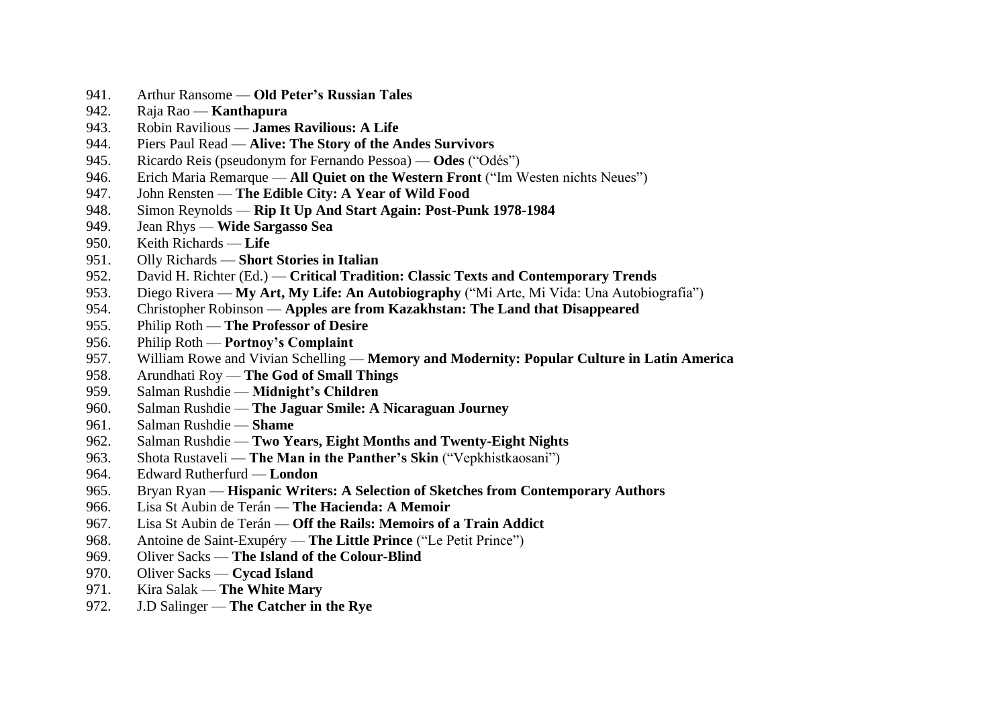- 941. Arthur Ransome **Old Peter's Russian Tales**
- 942. Raja Rao **Kanthapura**
- 943. Robin Ravilious **James Ravilious: A Life**
- 944. Piers Paul Read **Alive: The Story of the Andes Survivors**
- 945. Ricardo Reis (pseudonym for Fernando Pessoa) **Odes** ("Odés")
- 946. Erich Maria Remarque **All Quiet on the Western Front** ("Im Westen nichts Neues")
- 947. John Rensten **The Edible City: A Year of Wild Food**
- 948. Simon Reynolds **Rip It Up And Start Again: Post-Punk 1978-1984**
- 949. Jean Rhys **Wide Sargasso Sea**
- 950. Keith Richards **Life**
- 951. Olly Richards **Short Stories in Italian**
- 952. David H. Richter (Ed.) **Critical Tradition: Classic Texts and Contemporary Trends**
- 953. Diego Rivera **My Art, My Life: An Autobiography** ("Mi Arte, Mi Vida: Una Autobiografia")
- 954. Christopher Robinson **Apples are from Kazakhstan: The Land that Disappeared**
- 955. Philip Roth **The Professor of Desire**
- 956. Philip Roth **Portnoy's Complaint**
- 957. William Rowe and Vivian Schelling **Memory and Modernity: Popular Culture in Latin America**
- 958. Arundhati Roy **The God of Small Things**
- 959. Salman Rushdie **Midnight's Children**
- 960. Salman Rushdie **The Jaguar Smile: A Nicaraguan Journey**
- 961. Salman Rushdie **Shame**
- 962. Salman Rushdie **Two Years, Eight Months and Twenty-Eight Nights**
- 963. Shota Rustaveli **The Man in the Panther's Skin** ("Vepkhistkaosani")
- 964. Edward Rutherfurd **London**
- 965. Bryan Ryan **Hispanic Writers: A Selection of Sketches from Contemporary Authors**
- 966. Lisa St Aubin de Terán **The Hacienda: A Memoir**
- 967. Lisa St Aubin de Terán **Off the Rails: Memoirs of a Train Addict**
- 968. Antoine de Saint-Exupéry **The Little Prince** ("Le Petit Prince")
- 969. Oliver Sacks **The Island of the Colour-Blind**
- 970. Oliver Sacks **Cycad Island**
- 971. Kira Salak **The White Mary**
- 972. J.D Salinger **The Catcher in the Rye**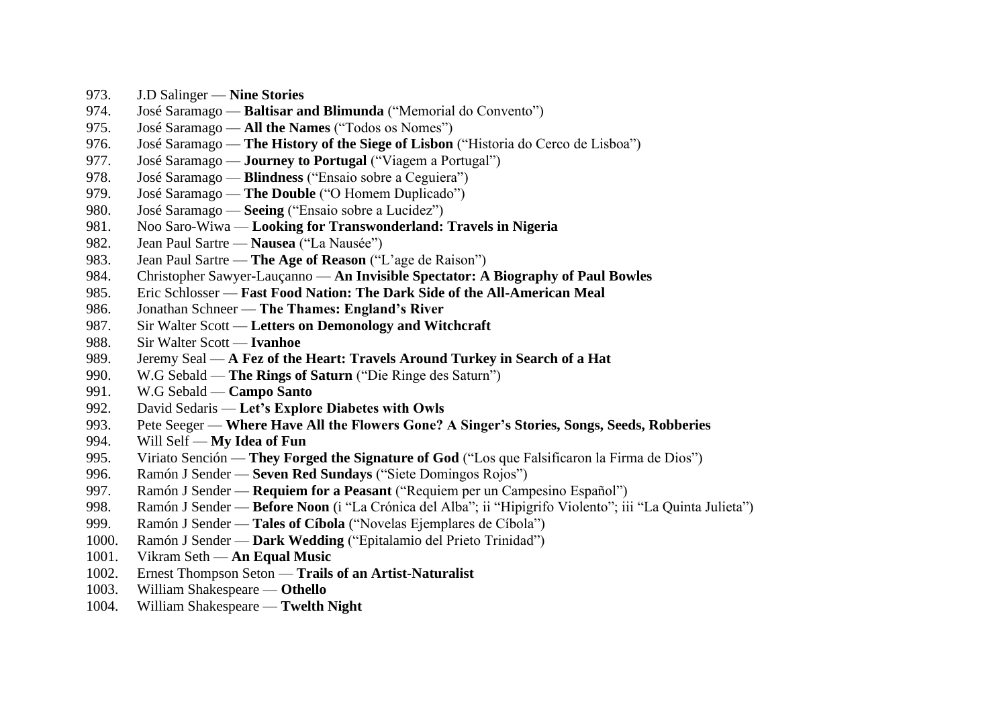- 973. J.D Salinger **Nine Stories**
- 974. José Saramago **Baltisar and Blimunda** ("Memorial do Convento")
- 975. José Saramago **All the Names** ("Todos os Nomes")
- 976. José Saramago **The History of the Siege of Lisbon** ("Historia do Cerco de Lisboa")
- 977. José Saramago **Journey to Portugal** ("Viagem a Portugal")
- 978. José Saramago **Blindness** ("Ensaio sobre a Ceguiera")
- 979. José Saramago **The Double** ("O Homem Duplicado")
- 980. José Saramago **Seeing** ("Ensaio sobre a Lucidez")
- 981. Noo Saro-Wiwa **Looking for Transwonderland: Travels in Nigeria**
- 982. Jean Paul Sartre **Nausea** ("La Nausée")
- 983. Jean Paul Sartre **The Age of Reason** ("L'age de Raison")
- 984. Christopher Sawyer-Lauçanno **An Invisible Spectator: A Biography of Paul Bowles**
- 985. Eric Schlosser **Fast Food Nation: The Dark Side of the All-American Meal**
- 986. Jonathan Schneer **The Thames: England's River**
- 987. Sir Walter Scott **Letters on Demonology and Witchcraft**
- 988. Sir Walter Scott **Ivanhoe**
- 989. Jeremy Seal **A Fez of the Heart: Travels Around Turkey in Search of a Hat**
- 990. W.G Sebald **The Rings of Saturn** ("Die Ringe des Saturn")
- 991. W.G Sebald **Campo Santo**
- 992. David Sedaris **Let's Explore Diabetes with Owls**
- 993. Pete Seeger **Where Have All the Flowers Gone? A Singer's Stories, Songs, Seeds, Robberies**
- 994. Will Self **My Idea of Fun**
- 995. Viriato Sención **They Forged the Signature of God** ("Los que Falsificaron la Firma de Dios")
- 996. Ramón J Sender **Seven Red Sundays** ("Siete Domingos Rojos")
- 997. Ramón J Sender **Requiem for a Peasant** ("Requiem per un Campesino Español")
- 998. Ramón J Sender **Before Noon** (i "La Crónica del Alba"; ii "Hipigrifo Violento"; iii "La Quinta Julieta")
- 999. Ramón J Sender **Tales of Cíbola** ("Novelas Ejemplares de Cíbola")
- 1000. Ramón J Sender **Dark Wedding** ("Epitalamio del Prieto Trinidad")
- 1001. Vikram Seth **An Equal Music**
- 1002. Ernest Thompson Seton **Trails of an Artist-Naturalist**
- 1003. William Shakespeare **Othello**
- 1004. William Shakespeare **Twelth Night**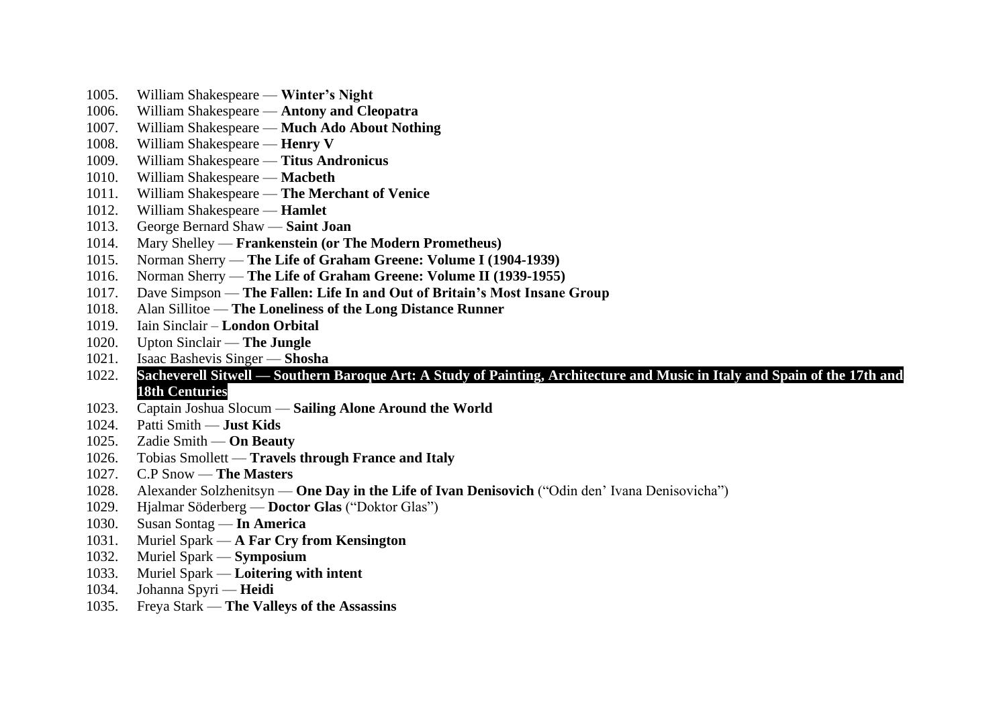- 1005. William Shakespeare **Winter's Night**
- 1006. William Shakespeare **Antony and Cleopatra**
- 1007. William Shakespeare **Much Ado About Nothing**
- 1008. William Shakespeare **Henry V**
- 1009. William Shakespeare **Titus Andronicus**
- 1010. William Shakespeare **Macbeth**
- 1011. William Shakespeare **The Merchant of Venice**
- 1012. William Shakespeare **Hamlet**
- 1013. George Bernard Shaw **Saint Joan**
- 1014. Mary Shelley **Frankenstein (or The Modern Prometheus)**
- 1015. Norman Sherry **The Life of Graham Greene: Volume I (1904-1939)**
- 1016. Norman Sherry **The Life of Graham Greene: Volume II (1939-1955)**
- 1017. Dave Simpson **The Fallen: Life In and Out of Britain's Most Insane Group**
- 1018. Alan Sillitoe **The Loneliness of the Long Distance Runner**
- 1019. Iain Sinclair **London Orbital**
- 1020. Upton Sinclair **The Jungle**
- 1021. Isaac Bashevis Singer **Shosha**
- 1022. **Sacheverell Sitwell — Southern Baroque Art: A Study of Painting, Architecture and Music in Italy and Spain of the 17th and 18th Centuries**
- 1023. Captain Joshua Slocum **Sailing Alone Around the World**
- 1024. Patti Smith **Just Kids**
- 1025. Zadie Smith **On Beauty**
- 1026. Tobias Smollett **Travels through France and Italy**
- 1027. C.P Snow **The Masters**
- 1028. Alexander Solzhenitsyn **One Day in the Life of Ivan Denisovich** ("Odin den' Ivana Denisovicha")
- 1029. Hjalmar Söderberg **Doctor Glas** ("Doktor Glas")
- 1030. Susan Sontag **In America**
- 1031. Muriel Spark **A Far Cry from Kensington**
- 1032. Muriel Spark **Symposium**
- 1033. Muriel Spark **Loitering with intent**
- 1034. Johanna Spyri **Heidi**
- 1035. Freya Stark **The Valleys of the Assassins**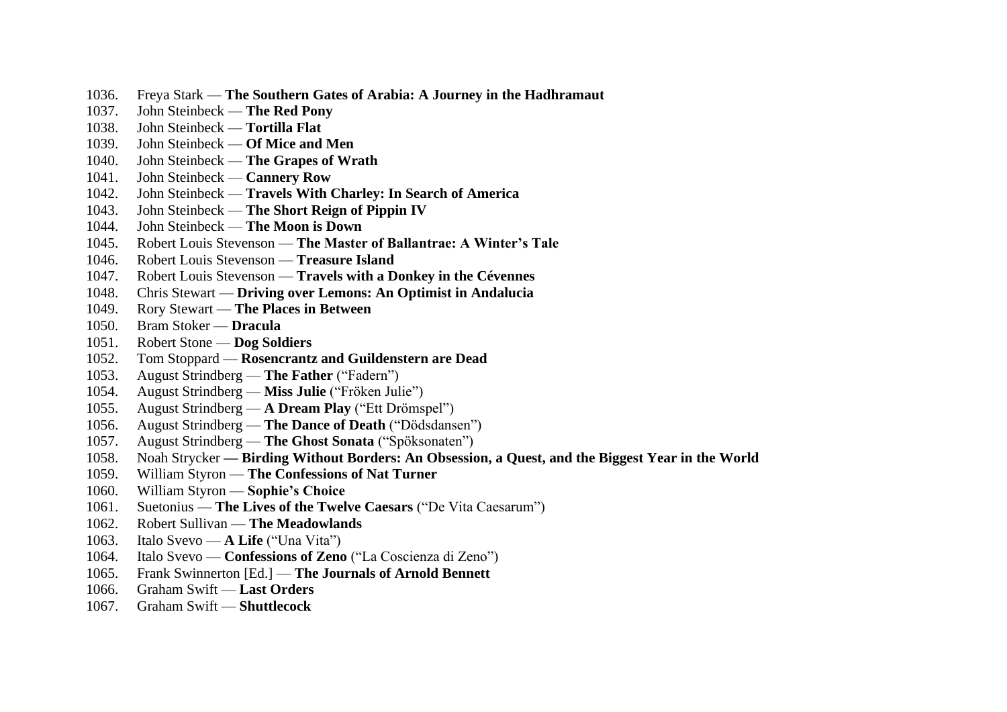- 1036. Freya Stark **The Southern Gates of Arabia: A Journey in the Hadhramaut**
- 1037. John Steinbeck **The Red Pony**
- 1038. John Steinbeck **Tortilla Flat**
- 1039. John Steinbeck **Of Mice and Men**
- 1040. John Steinbeck **The Grapes of Wrath**
- 1041. John Steinbeck **Cannery Row**
- 1042. John Steinbeck **Travels With Charley: In Search of America**
- 1043. John Steinbeck **The Short Reign of Pippin IV**
- 1044. John Steinbeck **The Moon is Down**
- 1045. Robert Louis Stevenson **The Master of Ballantrae: A Winter's Tale**
- 1046. Robert Louis Stevenson **Treasure Island**
- 1047. Robert Louis Stevenson **Travels with a Donkey in the Cévennes**
- 1048. Chris Stewart **Driving over Lemons: An Optimist in Andalucia**
- 1049. Rory Stewart **The Places in Between**
- 1050. Bram Stoker **Dracula**
- 1051. Robert Stone **Dog Soldiers**
- 1052. Tom Stoppard **Rosencrantz and Guildenstern are Dead**
- 1053. August Strindberg **The Father** ("Fadern")
- 1054. August Strindberg **Miss Julie** ("Fröken Julie")
- 1055. August Strindberg **A Dream Play** ("Ett Drömspel")
- 1056. August Strindberg **The Dance of Death** ("Dödsdansen")
- 1057. August Strindberg **The Ghost Sonata** ("Spöksonaten")
- 1058. Noah Strycker **— Birding Without Borders: An Obsession, a Quest, and the Biggest Year in the World**
- 1059. William Styron **The Confessions of Nat Turner**
- 1060. William Styron **Sophie's Choice**
- 1061. Suetonius **The Lives of the Twelve Caesars** ("De Vita Caesarum")
- 1062. Robert Sullivan **The Meadowlands**
- 1063. Italo Svevo **A Life** ("Una Vita")
- 1064. Italo Svevo **Confessions of Zeno** ("La Coscienza di Zeno")
- 1065. Frank Swinnerton [Ed.] **The Journals of Arnold Bennett**
- 1066. Graham Swift **Last Orders**
- 1067. Graham Swift **Shuttlecock**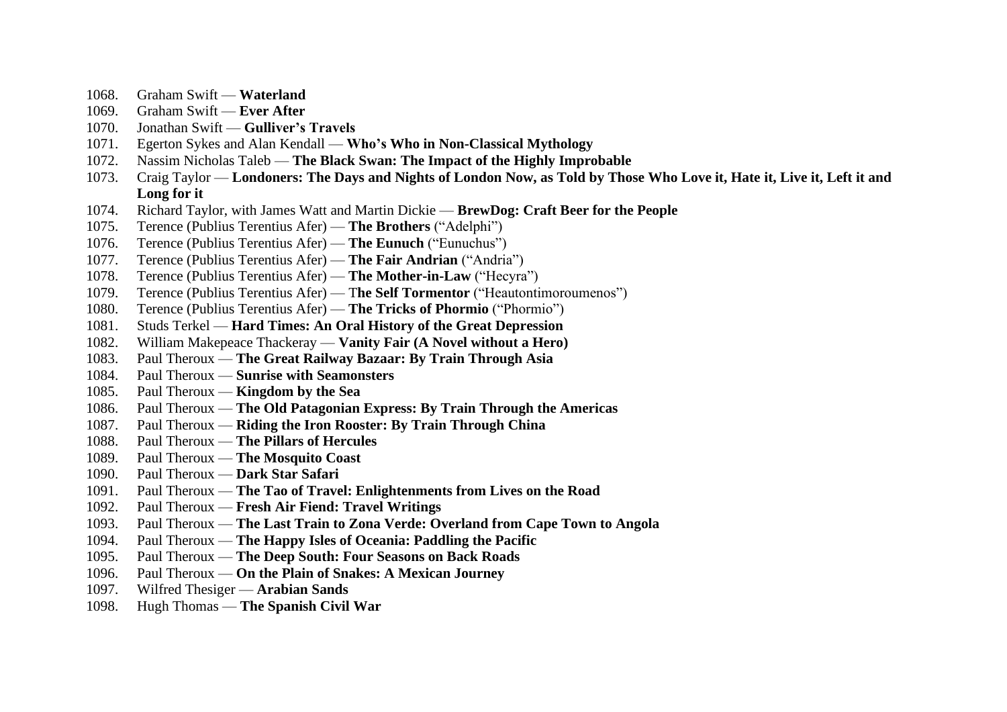- 1068. Graham Swift **Waterland**
- 1069. Graham Swift **Ever After**
- 1070. Jonathan Swift **Gulliver's Travels**
- 1071. Egerton Sykes and Alan Kendall **Who's Who in Non-Classical Mythology**
- 1072. Nassim Nicholas Taleb **The Black Swan: The Impact of the Highly Improbable**
- 1073. Craig Taylor **Londoners: The Days and Nights of London Now, as Told by Those Who Love it, Hate it, Live it, Left it and Long for it**
- 1074. Richard Taylor, with James Watt and Martin Dickie **BrewDog: Craft Beer for the People**
- 1075. Terence (Publius Terentius Afer) **The Brothers** ("Adelphi")
- 1076. Terence (Publius Terentius Afer) **The Eunuch** ("Eunuchus")
- 1077. Terence (Publius Terentius Afer) **The Fair Andrian** ("Andria")
- 1078. Terence (Publius Terentius Afer) **The Mother-in-Law** ("Hecyra")
- 1079. Terence (Publius Terentius Afer) T**he Self Tormentor** ("Heautontimoroumenos")
- 1080. Terence (Publius Terentius Afer) **The Tricks of Phormio** ("Phormio")
- 1081. Studs Terkel **Hard Times: An Oral History of the Great Depression**
- 1082. William Makepeace Thackeray **Vanity Fair (A Novel without a Hero)**
- 1083. Paul Theroux **The Great Railway Bazaar: By Train Through Asia**
- 1084. Paul Theroux **Sunrise with Seamonsters**
- 1085. Paul Theroux **Kingdom by the Sea**
- 1086. Paul Theroux **The Old Patagonian Express: By Train Through the Americas**
- 1087. Paul Theroux **Riding the Iron Rooster: By Train Through China**
- 1088. Paul Theroux **The Pillars of Hercules**
- 1089. Paul Theroux **The Mosquito Coast**
- 1090. Paul Theroux **Dark Star Safari**
- 1091. Paul Theroux **The Tao of Travel: Enlightenments from Lives on the Road**
- 1092. Paul Theroux **Fresh Air Fiend: Travel Writings**
- 1093. Paul Theroux **The Last Train to Zona Verde: Overland from Cape Town to Angola**
- 1094. Paul Theroux **The Happy Isles of Oceania: Paddling the Pacific**
- 1095. Paul Theroux **The Deep South: Four Seasons on Back Roads**
- 1096. Paul Theroux **On the Plain of Snakes: A Mexican Journey**
- 1097. Wilfred Thesiger **Arabian Sands**
- 1098. Hugh Thomas **The Spanish Civil War**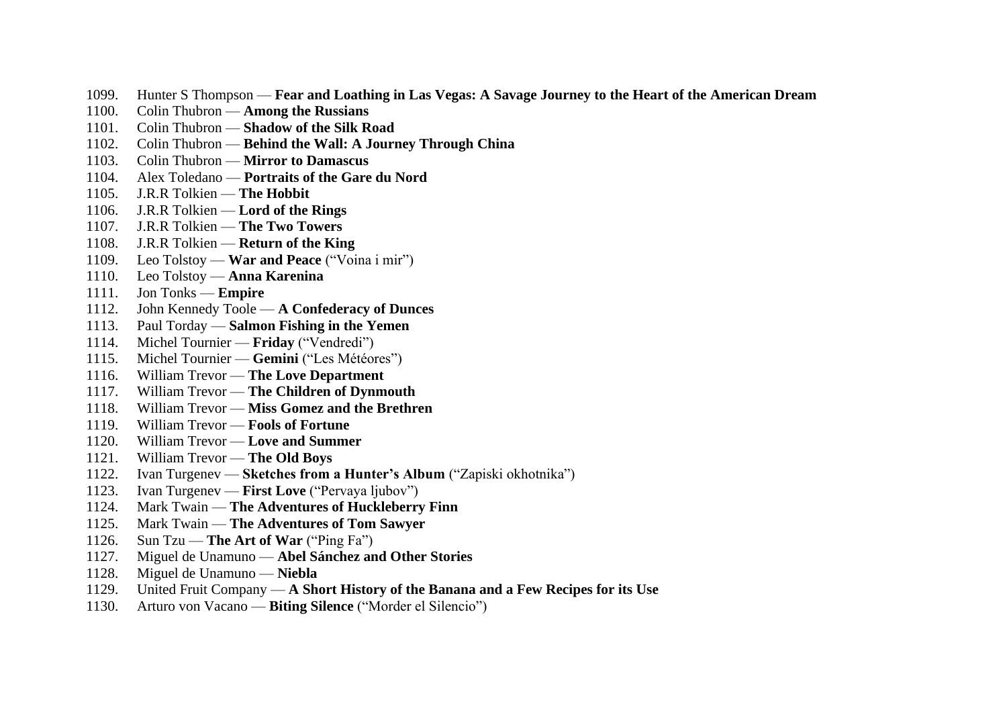- 1099. Hunter S Thompson **Fear and Loathing in Las Vegas: A Savage Journey to the Heart of the American Dream**
- 1100. Colin Thubron **Among the Russians**
- 1101. Colin Thubron **Shadow of the Silk Road**
- 1102. Colin Thubron **Behind the Wall: A Journey Through China**
- 1103. Colin Thubron **Mirror to Damascus**
- 1104. Alex Toledano **Portraits of the Gare du Nord**
- 1105. J.R.R Tolkien **The Hobbit**
- 1106. J.R.R Tolkien **Lord of the Rings**
- 1107. J.R.R Tolkien **The Two Towers**
- 1108. J.R.R Tolkien **Return of the King**
- 1109. Leo Tolstoy **War and Peace** ("Voina i mir")
- 1110. Leo Tolstoy **Anna Karenina**
- 1111. Jon Tonks **Empire**
- 1112. John Kennedy Toole **A Confederacy of Dunces**
- 1113. Paul Torday **Salmon Fishing in the Yemen**
- 1114. Michel Tournier **Friday** ("Vendredi")
- 1115. Michel Tournier **Gemini** ("Les Météores")
- 1116. William Trevor **The Love Department**
- 1117. William Trevor **The Children of Dynmouth**
- 1118. William Trevor **Miss Gomez and the Brethren**
- 1119. William Trevor **Fools of Fortune**
- 1120. William Trevor **Love and Summer**
- 1121. William Trevor **The Old Boys**
- 1122. Ivan Turgenev **Sketches from a Hunter's Album** ("Zapiski okhotnika")
- 1123. Ivan Turgenev **First Love** ("Pervaya ljubov")
- 1124. Mark Twain **The Adventures of Huckleberry Finn**
- 1125. Mark Twain **The Adventures of Tom Sawyer**
- 1126. Sun Tzu **The Art of War** ("Ping Fa")
- 1127. Miguel de Unamuno **Abel Sánchez and Other Stories**
- 1128. Miguel de Unamuno **Niebla**
- 1129. United Fruit Company **A Short History of the Banana and a Few Recipes for its Use**
- 1130. Arturo von Vacano **Biting Silence** ("Morder el Silencio")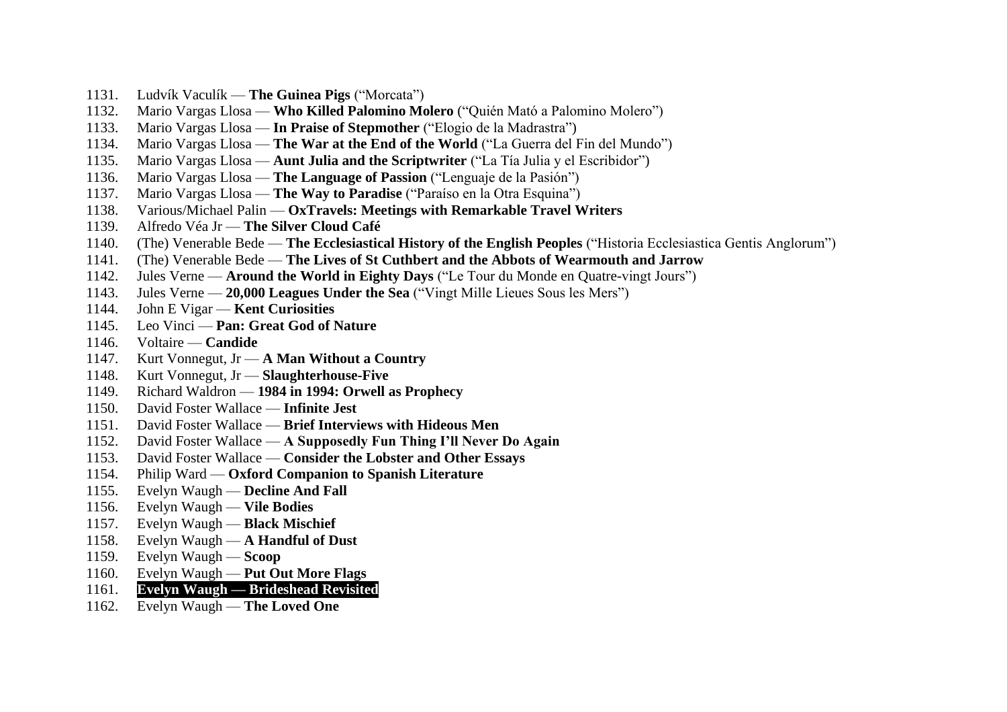- 1131. Ludvík Vaculík **The Guinea Pigs** ("Morcata")
- 1132. Mario Vargas Llosa **Who Killed Palomino Molero** ("Quién Mató a Palomino Molero")
- 1133. Mario Vargas Llosa **In Praise of Stepmother** ("Elogio de la Madrastra")
- 1134. Mario Vargas Llosa **The War at the End of the World** ("La Guerra del Fin del Mundo")
- 1135. Mario Vargas Llosa **Aunt Julia and the Scriptwriter** ("La Tía Julia y el Escribidor")
- 1136. Mario Vargas Llosa **The Language of Passion** ("Lenguaje de la Pasión")
- 1137. Mario Vargas Llosa **The Way to Paradise** ("Paraíso en la Otra Esquina")
- 1138. Various/Michael Palin **OxTravels: Meetings with Remarkable Travel Writers**
- 1139. Alfredo Véa Jr **The Silver Cloud Café**
- 1140. (The) Venerable Bede **The Ecclesiastical History of the English Peoples** ("Historia Ecclesiastica Gentis Anglorum")
- 1141. (The) Venerable Bede **The Lives of St Cuthbert and the Abbots of Wearmouth and Jarrow**
- 1142. Jules Verne **Around the World in Eighty Days** ("Le Tour du Monde en Quatre-vingt Jours")
- 1143. Jules Verne **20,000 Leagues Under the Sea** ("Vingt Mille Lieues Sous les Mers")
- 1144. John E Vigar **Kent Curiosities**
- 1145. Leo Vinci **Pan: Great God of Nature**
- 1146. Voltaire **Candide**
- 1147. Kurt Vonnegut, Jr **A Man Without a Country**
- 1148. Kurt Vonnegut, Jr **Slaughterhouse-Five**
- 1149. Richard Waldron **1984 in 1994: Orwell as Prophecy**
- 1150. David Foster Wallace **Infinite Jest**
- 1151. David Foster Wallace **Brief Interviews with Hideous Men**
- 1152. David Foster Wallace **A Supposedly Fun Thing I'll Never Do Again**
- 1153. David Foster Wallace **Consider the Lobster and Other Essays**
- 1154. Philip Ward **Oxford Companion to Spanish Literature**
- 1155. Evelyn Waugh **Decline And Fall**
- 1156. Evelyn Waugh **Vile Bodies**
- 1157. Evelyn Waugh **Black Mischief**
- 1158. Evelyn Waugh **A Handful of Dust**
- 1159. Evelyn Waugh **Scoop**
- 1160. Evelyn Waugh **Put Out More Flags**
- 1161. **Evelyn Waugh — Brideshead Revisited**
- 1162. Evelyn Waugh **The Loved One**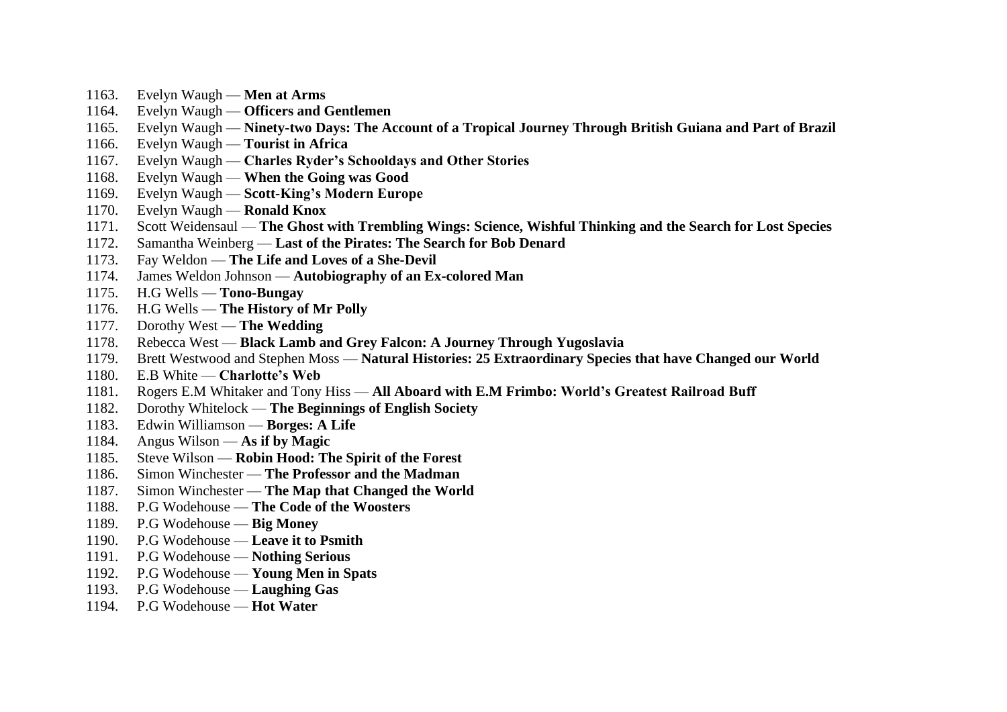- 1163. Evelyn Waugh **Men at Arms**
- 1164. Evelyn Waugh **Officers and Gentlemen**
- 1165. Evelyn Waugh **Ninety-two Days: The Account of a Tropical Journey Through British Guiana and Part of Brazil**
- 1166. Evelyn Waugh **Tourist in Africa**
- 1167. Evelyn Waugh **Charles Ryder's Schooldays and Other Stories**
- 1168. Evelyn Waugh **When the Going was Good**
- 1169. Evelyn Waugh **Scott-King's Modern Europe**
- 1170. Evelyn Waugh **Ronald Knox**
- 1171. Scott Weidensaul **The Ghost with Trembling Wings: Science, Wishful Thinking and the Search for Lost Species**
- 1172. Samantha Weinberg **Last of the Pirates: The Search for Bob Denard**
- 1173. Fay Weldon **The Life and Loves of a She-Devil**
- 1174. James Weldon Johnson **Autobiography of an Ex-colored Man**
- 1175. H.G Wells **Tono-Bungay**
- 1176. H.G Wells **The History of Mr Polly**
- 1177. Dorothy West **The Wedding**
- 1178. Rebecca West **Black Lamb and Grey Falcon: A Journey Through Yugoslavia**
- 1179. Brett Westwood and Stephen Moss **Natural Histories: 25 Extraordinary Species that have Changed our World**
- 1180. E.B White **Charlotte's Web**
- 1181. Rogers E.M Whitaker and Tony Hiss **All Aboard with E.M Frimbo: World's Greatest Railroad Buff**
- 1182. Dorothy Whitelock **The Beginnings of English Society**
- 1183. Edwin Williamson **Borges: A Life**
- 1184. Angus Wilson **As if by Magic**
- 1185. Steve Wilson **Robin Hood: The Spirit of the Forest**
- 1186. Simon Winchester **The Professor and the Madman**
- 1187. Simon Winchester **The Map that Changed the World**
- 1188. P.G Wodehouse **The Code of the Woosters**
- 1189. P.G Wodehouse **Big Money**
- 1190. P.G Wodehouse **Leave it to Psmith**
- 1191. P.G Wodehouse **Nothing Serious**
- 1192. P.G Wodehouse **Young Men in Spats**
- 1193. P.G Wodehouse **Laughing Gas**
- 1194. P.G Wodehouse **Hot Water**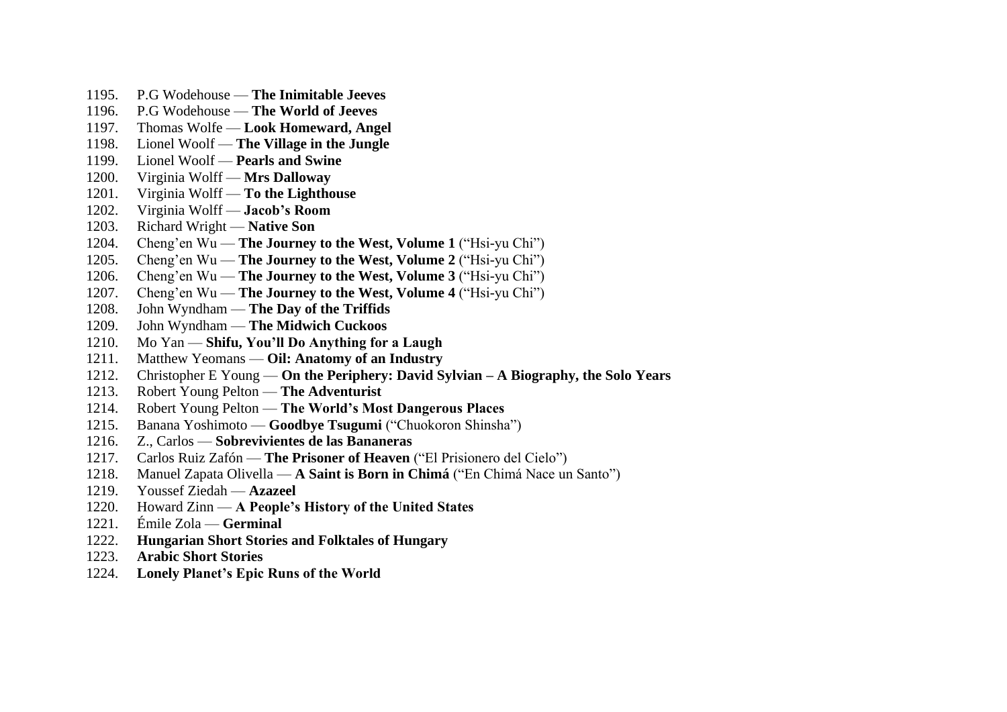- 1195. P.G Wodehouse **The Inimitable Jeeves**
- 1196. P.G Wodehouse **The World of Jeeves**
- 1197. Thomas Wolfe **Look Homeward, Angel**
- 1198. Lionel Woolf **The Village in the Jungle**
- 1199. Lionel Woolf **Pearls and Swine**
- 1200. Virginia Wolff **Mrs Dalloway**
- 1201. Virginia Wolff **To the Lighthouse**
- 1202. Virginia Wolff **Jacob's Room**
- 1203. Richard Wright **Native Son**
- 1204. Cheng'en Wu **The Journey to the West, Volume 1** ("Hsi-yu Chi")
- 1205. Cheng'en Wu **The Journey to the West, Volume 2** ("Hsi-yu Chi")
- 1206. Cheng'en Wu **The Journey to the West, Volume 3** ("Hsi-yu Chi")
- 1207. Cheng'en Wu **The Journey to the West, Volume 4** ("Hsi-yu Chi")
- 1208. John Wyndham **The Day of the Triffids**
- 1209. John Wyndham **The Midwich Cuckoos**
- 1210. Mo Yan **Shifu, You'll Do Anything for a Laugh**
- 1211. Matthew Yeomans **Oil: Anatomy of an Industry**
- 1212. Christopher E Young **On the Periphery: David Sylvian – A Biography, the Solo Years**
- 1213. Robert Young Pelton **The Adventurist**
- 1214. Robert Young Pelton **The World's Most Dangerous Places**
- 1215. Banana Yoshimoto **Goodbye Tsugumi** ("Chuokoron Shinsha")
- 1216. Z., Carlos **Sobrevivientes de las Bananeras**
- 1217. Carlos Ruiz Zafón **The Prisoner of Heaven** ("El Prisionero del Cielo")
- 1218. Manuel Zapata Olivella **A Saint is Born in Chimá** ("En Chimá Nace un Santo")
- 1219. Youssef Ziedah **Azazeel**
- 1220. Howard Zinn **A People's History of the United States**
- 1221. Émile Zola **Germinal**
- 1222. **Hungarian Short Stories and Folktales of Hungary**
- 1223. **Arabic Short Stories**
- 1224. **Lonely Planet's Epic Runs of the World**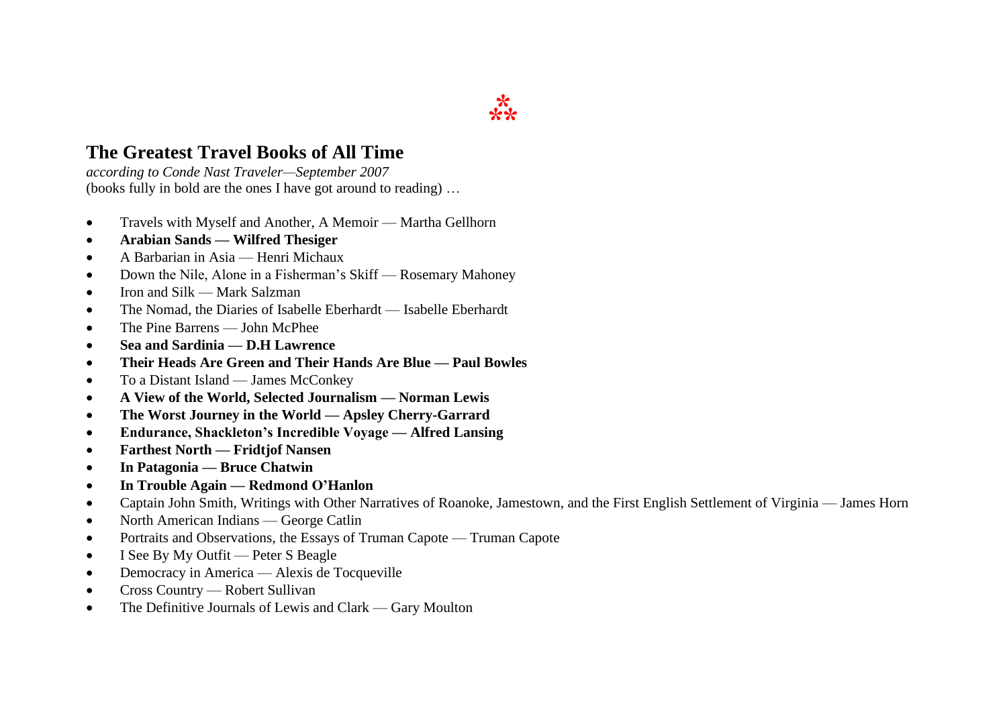# **The Greatest Travel Books of All Time**

*according to Conde Nast Traveler—September 2007* (books fully in bold are the ones I have got around to reading) …

- Travels with Myself and Another, A Memoir Martha Gellhorn
- **Arabian Sands — Wilfred Thesiger**
- A Barbarian in Asia Henri Michaux
- Down the Nile, Alone in a Fisherman's Skiff Rosemary Mahoney
- Iron and Silk Mark Salzman
- The Nomad, the Diaries of Isabelle Eberhardt Isabelle Eberhardt
- The Pine Barrens John McPhee
- **Sea and Sardinia — D.H Lawrence**
- **Their Heads Are Green and Their Hands Are Blue — Paul Bowles**
- To a Distant Island James McConkey
- **A View of the World, Selected Journalism — Norman Lewis**
- **The Worst Journey in the World — Apsley Cherry-Garrard**
- **Endurance, Shackleton's Incredible Voyage — Alfred Lansing**
- **Farthest North — Fridtjof Nansen**
- **In Patagonia — Bruce Chatwin**
- **In Trouble Again — Redmond O'Hanlon**
- Captain John Smith, Writings with Other Narratives of Roanoke, Jamestown, and the First English Settlement of Virginia James Horn
- North American Indians George Catlin
- Portraits and Observations, the Essays of Truman Capote Truman Capote
- I See By My Outfit Peter S Beagle
- Democracy in America Alexis de Tocqueville
- Cross Country Robert Sullivan
- The Definitive Journals of Lewis and Clark Gary Moulton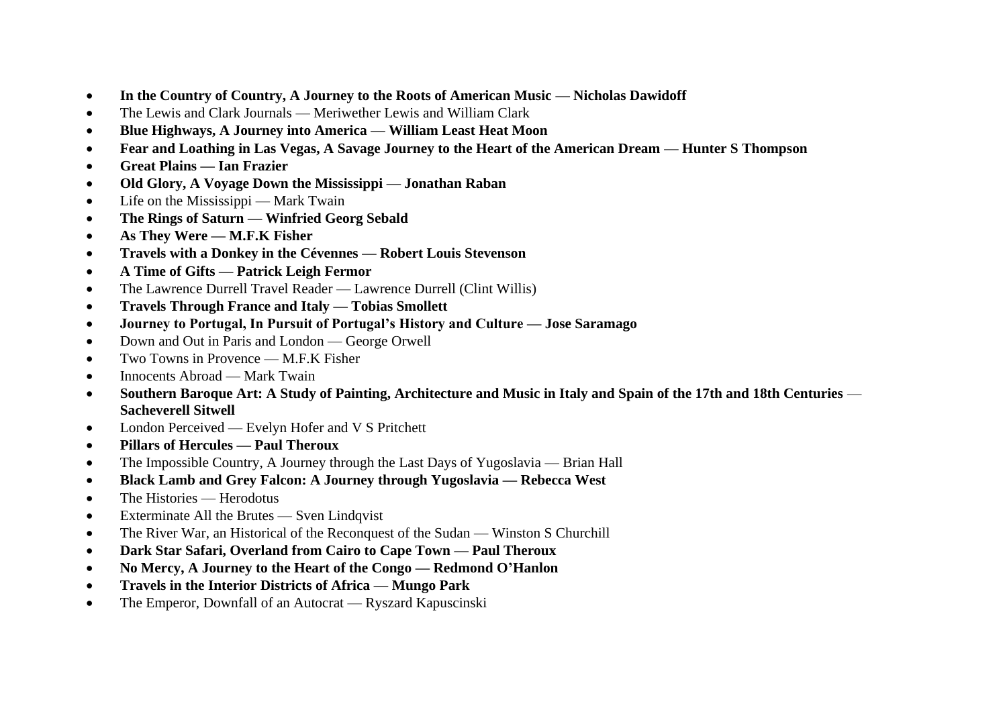- **In the Country of Country, A Journey to the Roots of American Music — Nicholas Dawidoff**
- The Lewis and Clark Journals Meriwether Lewis and William Clark
- **Blue Highways, A Journey into America — William Least Heat Moon**
- **Fear and Loathing in Las Vegas, A Savage Journey to the Heart of the American Dream — Hunter S Thompson**
- **Great Plains — Ian Frazier**
- **Old Glory, A Voyage Down the Mississippi — Jonathan Raban**
- Life on the Mississippi Mark Twain
- **The Rings of Saturn — Winfried Georg Sebald**
- **As They Were — M.F.K Fisher**
- **Travels with a Donkey in the Cévennes — Robert Louis Stevenson**
- **A Time of Gifts — Patrick Leigh Fermor**
- The Lawrence Durrell Travel Reader Lawrence Durrell (Clint Willis)
- **Travels Through France and Italy — Tobias Smollett**
- **Journey to Portugal, In Pursuit of Portugal's History and Culture — Jose Saramago**
- Down and Out in Paris and London George Orwell
- Two Towns in Provence  $M$  F K Fisher
- Innocents Abroad Mark Twain
- **Southern Baroque Art: A Study of Painting, Architecture and Music in Italy and Spain of the 17th and 18th Centuries Sacheverell Sitwell**
- London Perceived Evelyn Hofer and V S Pritchett
- **Pillars of Hercules — Paul Theroux**
- The Impossible Country, A Journey through the Last Days of Yugoslavia Brian Hall
- **Black Lamb and Grey Falcon: A Journey through Yugoslavia — Rebecca West**
- The Histories Herodotus
- Exterminate All the Brutes Sven Lindqvist
- The River War, an Historical of the Reconquest of the Sudan Winston S Churchill
- **Dark Star Safari, Overland from Cairo to Cape Town — Paul Theroux**
- **No Mercy, A Journey to the Heart of the Congo — Redmond O'Hanlon**
- **Travels in the Interior Districts of Africa — Mungo Park**
- The Emperor, Downfall of an Autocrat Ryszard Kapuscinski